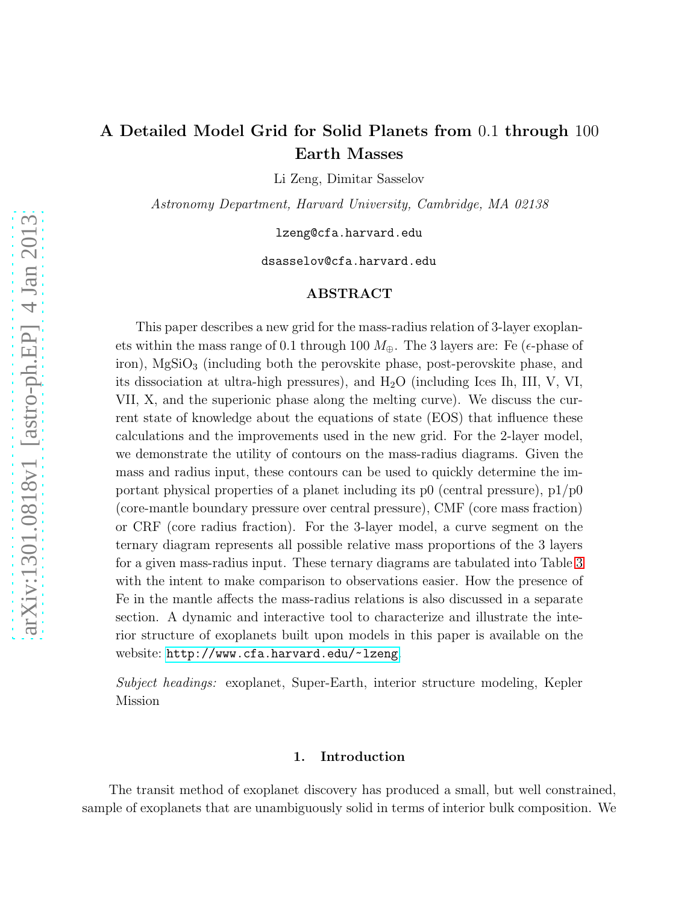# A Detailed Model Grid for Solid Planets from 0.1 through 100 Earth Masses

Li Zeng, Dimitar Sasselov

Astronomy Department, Harvard University, Cambridge, MA 02138

lzeng@cfa.harvard.edu

dsasselov@cfa.harvard.edu

## ABSTRACT

This paper describes a new grid for the mass-radius relation of 3-layer exoplanets within the mass range of 0.1 through 100  $M_{\oplus}$ . The 3 layers are: Fe ( $\epsilon$ -phase of iron),  $MgSiO<sub>3</sub>$  (including both the perovskite phase, post-perovskite phase, and its dissociation at ultra-high pressures), and  $H_2O$  (including Ices Ih, III, V, VI, VII, X, and the superionic phase along the melting curve). We discuss the current state of knowledge about the equations of state (EOS) that influence these calculations and the improvements used in the new grid. For the 2-layer model, we demonstrate the utility of contours on the mass-radius diagrams. Given the mass and radius input, these contours can be used to quickly determine the important physical properties of a planet including its p0 (central pressure),  $p1/p0$ (core-mantle boundary pressure over central pressure), CMF (core mass fraction) or CRF (core radius fraction). For the 3-layer model, a curve segment on the ternary diagram represents all possible relative mass proportions of the 3 layers for a given mass-radius input. These ternary diagrams are tabulated into Table [3](#page-21-0) with the intent to make comparison to observations easier. How the presence of Fe in the mantle affects the mass-radius relations is also discussed in a separate section. A dynamic and interactive tool to characterize and illustrate the interior structure of exoplanets built upon models in this paper is available on the website: <http://www.cfa.harvard.edu/~lzeng>.

Subject headings: exoplanet, Super-Earth, interior structure modeling, Kepler Mission

#### 1. Introduction

The transit method of exoplanet discovery has produced a small, but well constrained, sample of exoplanets that are unambiguously solid in terms of interior bulk composition. We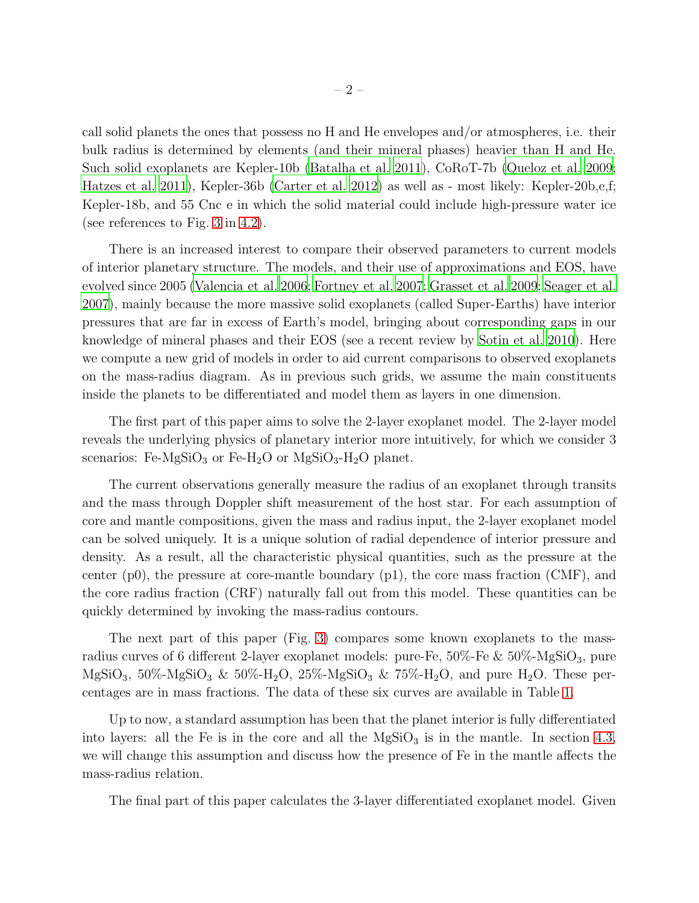call solid planets the ones that possess no H and He envelopes and/or atmospheres, i.e. their bulk radius is determined by elements (and their mineral phases) heavier than H and He. Such solid exoplanets are Kepler-10b [\(Batalha et al. 2011](#page-25-0)), CoRoT-7b [\(Queloz et al. 2009;](#page-26-0) [Hatzes et al. 2011\)](#page-26-1), Kepler-36b [\(Carter et al. 2012\)](#page-25-1) as well as - most likely: Kepler-20b,e,f; Kepler-18b, and 55 Cnc e in which the solid material could include high-pressure water ice (see references to Fig. [3](#page-14-0) in [4.2\)](#page-12-0).

There is an increased interest to compare their observed parameters to current models of interior planetary structure. The models, and their use of approximations and EOS, have evolved since 2005 [\(Valencia et al. 2006](#page-27-0); [Fortney et al. 2007;](#page-25-2) [Grasset et al. 2009;](#page-26-2) [Seager et al.](#page-27-1) [2007\)](#page-27-1), mainly because the more massive solid exoplanets (called Super-Earths) have interior pressures that are far in excess of Earth's model, bringing about corresponding gaps in our knowledge of mineral phases and their EOS (see a recent review by [Sotin et al. 2010](#page-27-2)). Here we compute a new grid of models in order to aid current comparisons to observed exoplanets on the mass-radius diagram. As in previous such grids, we assume the main constituents inside the planets to be differentiated and model them as layers in one dimension.

The first part of this paper aims to solve the 2-layer exoplanet model. The 2-layer model reveals the underlying physics of planetary interior more intuitively, for which we consider 3 scenarios: Fe-MgSiO<sub>3</sub> or Fe-H<sub>2</sub>O or MgSiO<sub>3</sub>-H<sub>2</sub>O planet.

The current observations generally measure the radius of an exoplanet through transits and the mass through Doppler shift measurement of the host star. For each assumption of core and mantle compositions, given the mass and radius input, the 2-layer exoplanet model can be solved uniquely. It is a unique solution of radial dependence of interior pressure and density. As a result, all the characteristic physical quantities, such as the pressure at the center  $(p0)$ , the pressure at core-mantle boundary  $(p1)$ , the core mass fraction (CMF), and the core radius fraction (CRF) naturally fall out from this model. These quantities can be quickly determined by invoking the mass-radius contours.

The next part of this paper (Fig. [3\)](#page-14-0) compares some known exoplanets to the massradius curves of 6 different 2-layer exoplanet models: pure-Fe,  $50\%$ -Fe &  $50\%$ -MgSiO<sub>3</sub>, pure MgSiO<sub>3</sub>, 50%-MgSiO<sub>3</sub> & 50%-H<sub>2</sub>O, 25%-MgSiO<sub>3</sub> & 75%-H<sub>2</sub>O, and pure H<sub>2</sub>O. These percentages are in mass fractions. The data of these six curves are available in Table [1.](#page-15-0)

Up to now, a standard assumption has been that the planet interior is fully differentiated into layers: all the Fe is in the core and all the  $MgSiO<sub>3</sub>$  is in the mantle. In section [4.3,](#page-13-0) we will change this assumption and discuss how the presence of Fe in the mantle affects the mass-radius relation.

The final part of this paper calculates the 3-layer differentiated exoplanet model. Given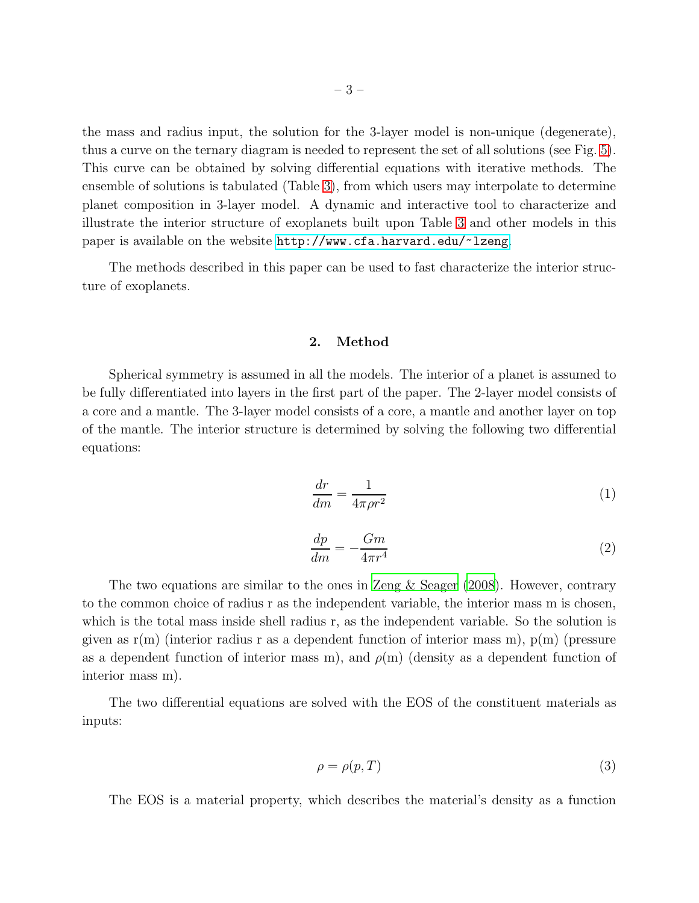the mass and radius input, the solution for the 3-layer model is non-unique (degenerate), thus a curve on the ternary diagram is needed to represent the set of all solutions (see Fig. [5\)](#page-22-0). This curve can be obtained by solving differential equations with iterative methods. The ensemble of solutions is tabulated (Table [3\)](#page-21-0), from which users may interpolate to determine planet composition in 3-layer model. A dynamic and interactive tool to characterize and illustrate the interior structure of exoplanets built upon Table [3](#page-21-0) and other models in this paper is available on the website <http://www.cfa.harvard.edu/~lzeng>.

The methods described in this paper can be used to fast characterize the interior structure of exoplanets.

### 2. Method

Spherical symmetry is assumed in all the models. The interior of a planet is assumed to be fully differentiated into layers in the first part of the paper. The 2-layer model consists of a core and a mantle. The 3-layer model consists of a core, a mantle and another layer on top of the mantle. The interior structure is determined by solving the following two differential equations:

$$
\frac{dr}{dm} = \frac{1}{4\pi\rho r^2} \tag{1}
$$

$$
\frac{dp}{dm} = -\frac{Gm}{4\pi r^4} \tag{2}
$$

The two equations are similar to the ones in Zeng  $\&$  Seager (2008). However, contrary to the common choice of radius r as the independent variable, the interior mass m is chosen, which is the total mass inside shell radius r, as the independent variable. So the solution is given as  $r(m)$  (interior radius r as a dependent function of interior mass m),  $p(m)$  (pressure as a dependent function of interior mass m), and  $\rho(m)$  (density as a dependent function of interior mass m).

The two differential equations are solved with the EOS of the constituent materials as inputs:

<span id="page-2-0"></span>
$$
\rho = \rho(p, T) \tag{3}
$$

The EOS is a material property, which describes the material's density as a function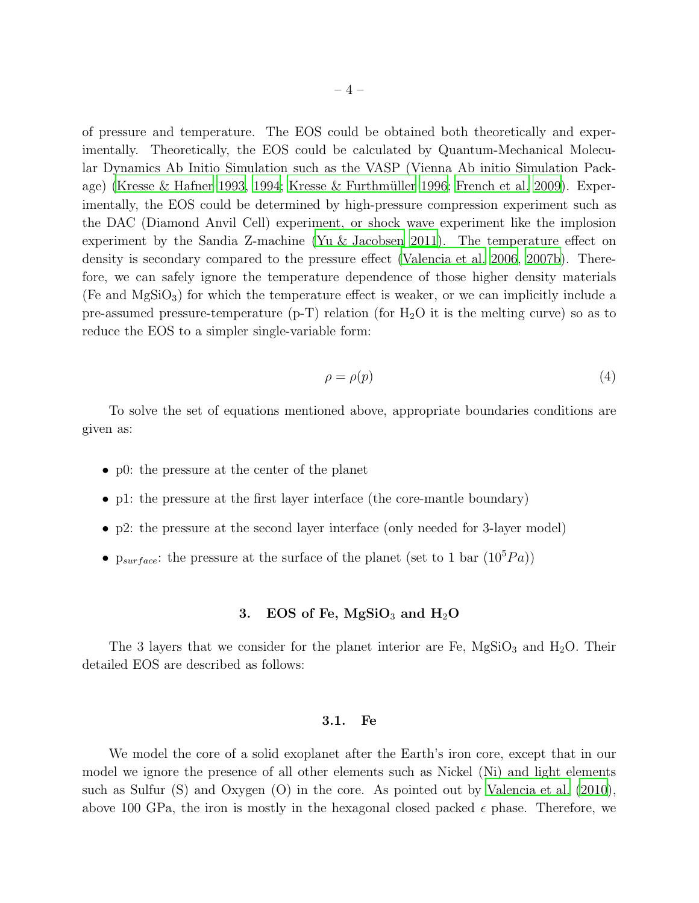of pressure and temperature. The EOS could be obtained both theoretically and experimentally. Theoretically, the EOS could be calculated by Quantum-Mechanical Molecular Dynamics Ab Initio Simulation such as the VASP (Vienna Ab initio Simulation Pack-age) [\(Kresse & Hafner 1993,](#page-26-3) [1994;](#page-26-4) Kresse & Furthmüller 1996; [French et al. 2009\)](#page-26-6). Experimentally, the EOS could be determined by high-pressure compression experiment such as the DAC (Diamond Anvil Cell) experiment, or shock wave experiment like the implosion experiment by the Sandia Z-machine [\(Yu & Jacobsen 2011](#page-27-3)). The temperature effect on density is secondary compared to the pressure effect [\(Valencia et](#page-27-0) al. [2006,](#page-27-0) [2007b](#page-27-4)). Therefore, we can safely ignore the temperature dependence of those higher density materials (Fe and  $MgSiO<sub>3</sub>$ ) for which the temperature effect is weaker, or we can implicitly include a pre-assumed pressure-temperature (p-T) relation (for  $H_2O$  it is the melting curve) so as to reduce the EOS to a simpler single-variable form:

$$
\rho = \rho(p) \tag{4}
$$

To solve the set of equations mentioned above, appropriate boundaries conditions are given as:

- p0: the pressure at the center of the planet
- p1: the pressure at the first layer interface (the core-mantle boundary)
- p2: the pressure at the second layer interface (only needed for 3-layer model)
- $p_{\text{surface}}$ : the pressure at the surface of the planet (set to 1 bar  $(10^5 Pa)$ )

## 3. EOS of Fe,  $MgSiO<sub>3</sub>$  and  $H<sub>2</sub>O$

The 3 layers that we consider for the planet interior are Fe,  $MgSiO<sub>3</sub>$  and  $H<sub>2</sub>O$ . Their detailed EOS are described as follows:

### 3.1. Fe

We model the core of a solid exoplanet after the Earth's iron core, except that in our model we ignore the presence of all other elements such as Nickel (Ni) and light elements such as Sulfur (S) and Oxygen (O) in the core. As pointed out by [Valencia et al. \(2010](#page-27-5)), above 100 GPa, the iron is mostly in the hexagonal closed packed  $\epsilon$  phase. Therefore, we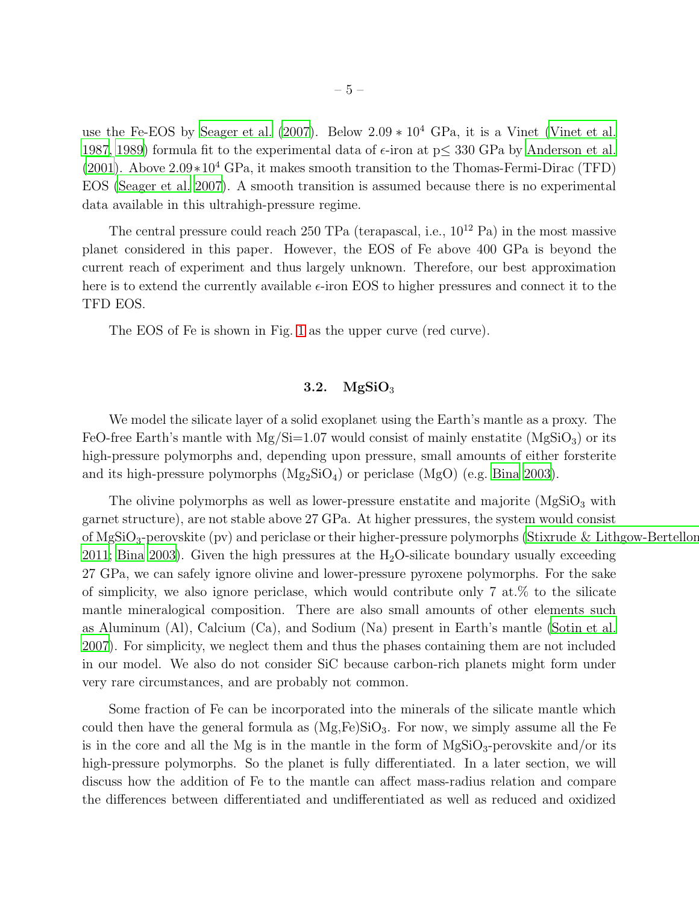use the Fe-EOS by Seager et al.  $(2007)$ . Below  $2.09 * 10<sup>4</sup>$  GPa, it is a Vinet [\(Vinet et al.](#page-27-6) [1987,](#page-27-6) [1989\)](#page-27-7) formula fit to the experimental data of  $\epsilon$ -iron at p $\leq$  330 GPa by [Anderson et al.](#page-25-3) [\(2001\)](#page-25-3). Above  $2.09*10^4$  GPa, it makes smooth transition to the Thomas-Fermi-Dirac (TFD) EOS [\(Seager et al. 2007](#page-27-1)). A smooth transition is assumed because there is no experimental data available in this ultrahigh-pressure regime.

The central pressure could reach 250 TPa (terapascal, i.e.,  $10^{12}$  Pa) in the most massive planet considered in this paper. However, the EOS of Fe above 400 GPa is beyond the current reach of experiment and thus largely unknown. Therefore, our best approximation here is to extend the currently available  $\epsilon$ -iron EOS to higher pressures and connect it to the TFD EOS.

The EOS of Fe is shown in Fig. [1](#page-5-0) as the upper curve (red curve).

### 3.2.  $MgSiO<sub>3</sub>$

We model the silicate layer of a solid exoplanet using the Earth's mantle as a proxy. The FeO-free Earth's mantle with  $Mg/Si=1.07$  would consist of mainly enstatite ( $MgSiO<sub>3</sub>$ ) or its high-pressure polymorphs and, depending upon pressure, small amounts of either forsterite and its high-pressure polymorphs  $(Mg_2SiO_4)$  or periclase  $(MgO)$  (e.g. [Bina 2003\)](#page-25-4).

The olivine polymorphs as well as lower-pressure enstatite and majorite  $(MgSiO<sub>3</sub>$  with garnet structure), are not stable above 27 GPa. At higher pressures, the system would consist of MgSiO<sub>3</sub>-perovskite (pv) and periclase or their higher-pressure polymorphs (Stixrude & Lithgow-Bertellon [2011;](#page-27-8) [Bina 2003\)](#page-25-4). Given the high pressures at the  $H_2O$ -silicate boundary usually exceeding 27 GPa, we can safely ignore olivine and lower-pressure pyroxene polymorphs. For the sake of simplicity, we also ignore periclase, which would contribute only 7 at.% to the silicate mantle mineralogical composition. There are also small amounts of other elements such as Aluminum (Al), Calcium (Ca), and Sodium (Na) present in Earth's mantle [\(Sotin et al.](#page-27-9) [2007\)](#page-27-9). For simplicity, we neglect them and thus the phases containing them are not included in our model. We also do not consider SiC because carbon-rich planets might form under very rare circumstances, and are probably not common.

Some fraction of Fe can be incorporated into the minerals of the silicate mantle which could then have the general formula as  $(Mg,Fe)SiO<sub>3</sub>$ . For now, we simply assume all the Fe is in the core and all the Mg is in the mantle in the form of  $MgSiO<sub>3</sub>$ -perovskite and/or its high-pressure polymorphs. So the planet is fully differentiated. In a later section, we will discuss how the addition of Fe to the mantle can affect mass-radius relation and compare the differences between differentiated and undifferentiated as well as reduced and oxidized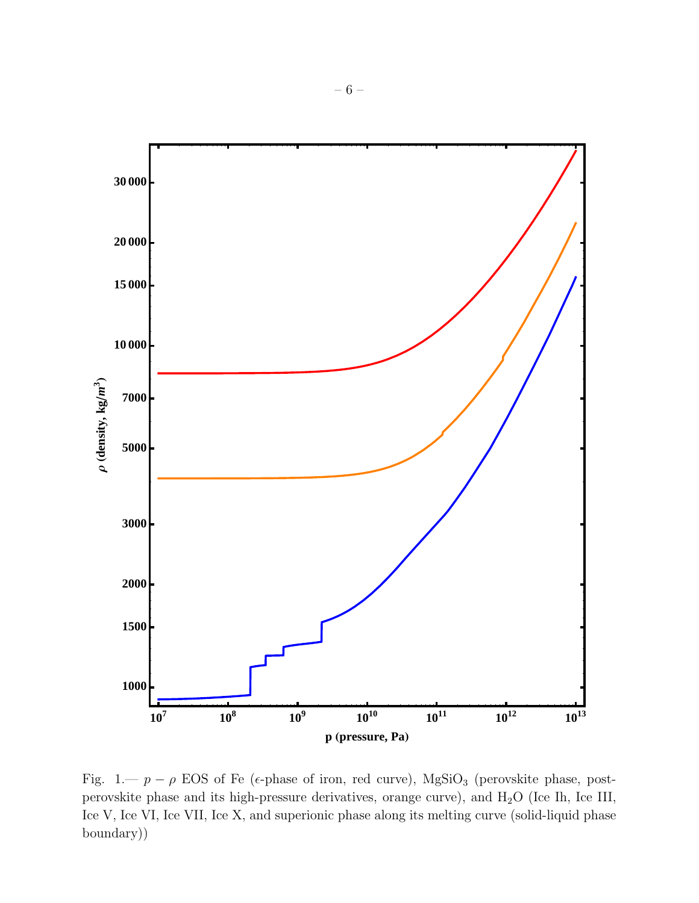

<span id="page-5-0"></span>Fig. 1.—  $p - \rho$  EOS of Fe ( $\epsilon$ -phase of iron, red curve), MgSiO<sub>3</sub> (perovskite phase, postperovskite phase and its high-pressure derivatives, orange curve), and H2O (Ice Ih, Ice III, Ice V, Ice VI, Ice VII, Ice X, and superionic phase along its melting curve (solid-liquid phase boundary))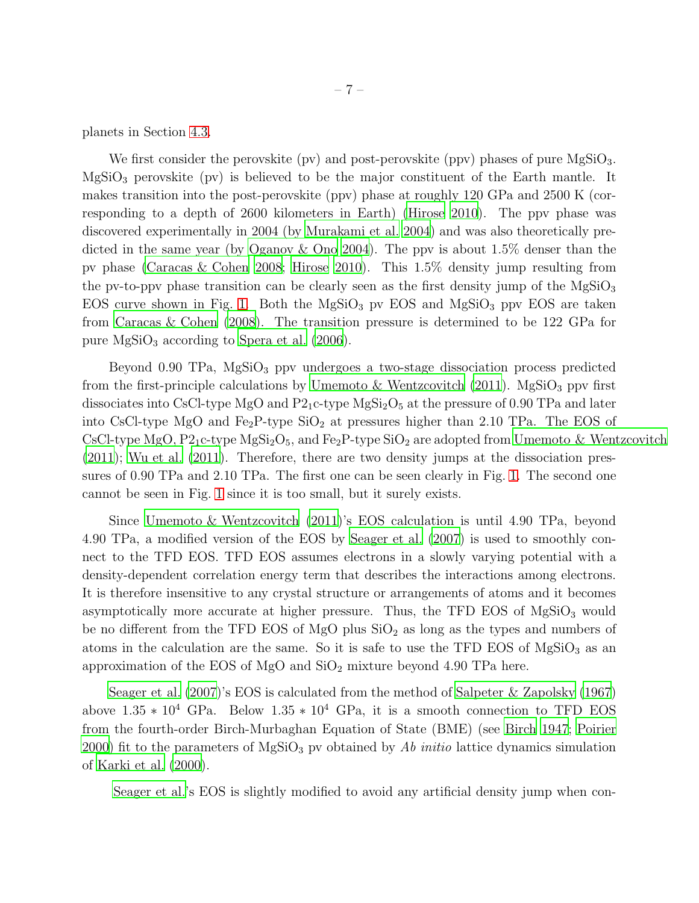planets in Section [4.3.](#page-13-0)

We first consider the perovskite (pv) and post-perovskite (ppv) phases of pure  $MgSiO<sub>3</sub>$ .  $MgSiO<sub>3</sub>$  perovskite (pv) is believed to be the major constituent of the Earth mantle. It makes transition into the post-perovskite (ppv) phase at roughly 120 GPa and 2500 K (corresponding to a depth of 2600 kilometers in Earth) [\(Hirose 2010\)](#page-26-7). The ppv phase was discovered experimentally in 2004 (by [Murakami et al. 2004\)](#page-26-8) and was also theoretically predicted in the same year (by [Oganov & Ono 2004](#page-26-9)). The ppv is about 1.5% denser than the pv phase [\(Caracas & Cohen 2008](#page-25-5); [Hirose 2010\)](#page-26-7). This 1.5% density jump resulting from the pv-to-ppv phase transition can be clearly seen as the first density jump of the  $MgSiO<sub>3</sub>$ EOS curve shown in Fig. [1.](#page-5-0) Both the  $MgSiO<sub>3</sub>$  pv EOS and  $MgSiO<sub>3</sub>$  ppv EOS are taken from [Caracas & Cohen \(2008\)](#page-25-5). The transition pressure is determined to be 122 GPa for pure  $MgSiO<sub>3</sub>$  according to [Spera et al. \(2006\)](#page-27-10).

Beyond 0.90 TPa,  $MgSiO<sub>3</sub>$  ppv undergoes a two-stage dissociation process predicted from the first-principle calculations by Umemoto & Wentzcovitch  $(2011)$ . MgSiO<sub>3</sub> ppv first dissociates into CsCl-type MgO and  $P2_1c$ -type MgSi<sub>2</sub>O<sub>5</sub> at the pressure of 0.90 TPa and later into CsCl-type MgO and  $Fe<sub>2</sub>P$ -type  $SiO<sub>2</sub>$  at pressures higher than 2.10 TPa. The EOS of CsCl-type MgO,  $P2_1c$ -type MgSi<sub>2</sub>O<sub>5</sub>, and Fe<sub>2</sub>P-type SiO<sub>2</sub> are adopted from [Umemoto & Wentzcovitch](#page-27-11) [\(2011\)](#page-27-11); [Wu et al. \(2011\)](#page-27-12). Therefore, there are two density jumps at the dissociation pressures of 0.90 TPa and 2.10 TPa. The first one can be seen clearly in Fig. [1.](#page-5-0) The second one cannot be seen in Fig. [1](#page-5-0) since it is too small, but it surely exists.

Since [Umemoto & Wentzcovitch \(2011\)](#page-27-11)'s EOS calculation is until 4.90 TPa, beyond 4.90 TPa, a modified version of the EOS by [Seager et al. \(2007\)](#page-27-1) is used to smoothly connect to the TFD EOS. TFD EOS assumes electrons in a slowly varying potential with a density-dependent correlation energy term that describes the interactions among electrons. It is therefore insensitive to any crystal structure or arrangements of atoms and it becomes asymptotically more accurate at higher pressure. Thus, the TFD EOS of  $MgSiO<sub>3</sub>$  would be no different from the TFD EOS of MgO plus  $SiO<sub>2</sub>$  as long as the types and numbers of atoms in the calculation are the same. So it is safe to use the TFD EOS of  $MgSiO<sub>3</sub>$  as an approximation of the EOS of  $MgO$  and  $SiO<sub>2</sub>$  mixture beyond 4.90 TPa here.

[Seager et al. \(2007\)](#page-27-1)'s EOS is calculated from the method of Salpeter [& Zapolsky \(1967\)](#page-27-13) above  $1.35 * 10^4$  GPa. Below  $1.35 * 10^4$  GPa, it is a smooth connection to TFD EOS from the fourth-order Birch-Murbaghan Equation of State (BME) (see [Birch 1947;](#page-25-6) [Poirier](#page-26-10) [2000\)](#page-26-10) fit to the parameters of  $MgSiO<sub>3</sub>$  pv obtained by Ab initio lattice dynamics simulation of [Karki et al. \(2000](#page-26-11)).

[Seager et al.](#page-27-1)'s EOS is slightly modified to avoid any artificial density jump when con-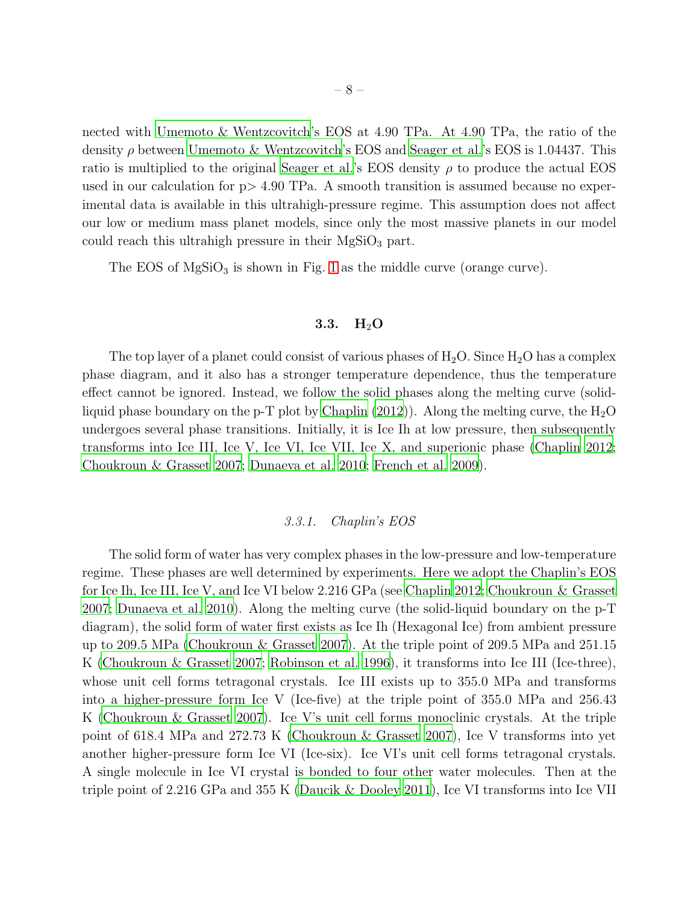nected with [Umemoto & Wentzcovitch](#page-27-11)'s EOS at 4.90 TPa. At 4.90 TPa, the ratio of the density  $\rho$  between [Umemoto & Wentzcovitch](#page-27-11)'s EOS and [Seager et al.](#page-27-1)'s EOS is 1.04437. This ratio is multiplied to the original [Seager et al.'](#page-27-1)s EOS density  $\rho$  to produce the actual EOS used in our calculation for p> 4.90 TPa. A smooth transition is assumed because no experimental data is available in this ultrahigh-pressure regime. This assumption does not affect our low or medium mass planet models, since only the most massive planets in our model could reach this ultrahigh pressure in their  $MgSiO<sub>3</sub>$  part.

The EOS of  $MgSiO<sub>3</sub>$  is shown in Fig. [1](#page-5-0) as the middle curve (orange curve).

#### 3.3.  $H_2O$

The top layer of a planet could consist of various phases of  $H_2O$ . Since  $H_2O$  has a complex phase diagram, and it also has a stronger temperature dependence, thus the temperature effect cannot be ignored. Instead, we follow the solid phases along the melting curve (solid-liquid phase boundary on the p-T plot by [Chaplin \(2012\)](#page-25-7)). Along the melting curve, the  $H_2O$ undergoes several phase transitions. Initially, it is Ice Ih at low pressure, then subsequently transforms into Ice III, Ice V, Ice VI, Ice VII, Ice X, and superionic phase [\(Chaplin 2012;](#page-25-7) [Choukroun & Grasset 2007;](#page-25-8) [Dunaeva et al. 2010;](#page-25-9) [French et al. 2009](#page-26-6)).

### 3.3.1. Chaplin's EOS

The solid form of water has very complex phases in the low-pressure and low-temperature regime. These phases are well determined by experiments. Here we adopt the Chaplin's EOS for Ice Ih, Ice III, Ice V, and Ice VI below 2.216 GPa (see [Chaplin 2012;](#page-25-7) [Choukroun & Grasset](#page-25-8) [2007;](#page-25-8) [Dunaeva et al. 2010\)](#page-25-9). Along the melting curve (the solid-liquid boundary on the p-T diagram), the solid form of water first exists as Ice Ih (Hexagonal Ice) from ambient pressure up to 209.5 MPa [\(Choukroun & Grasset 2007](#page-25-8)). At the triple point of 209.5 MPa and 251.15 K [\(Choukroun & Grasset 2007](#page-25-8); [Robinson et al. 1996\)](#page-27-14), it transforms into Ice III (Ice-three), whose unit cell forms tetragonal crystals. Ice III exists up to 355.0 MPa and transforms into a higher-pressure form Ice V (Ice-five) at the triple point of 355.0 MPa and 256.43 K [\(Choukroun & Grasset 2007\)](#page-25-8). Ice V's unit cell forms monoclinic crystals. At the triple point of 618.4 MPa and 272.73 K [\(Choukroun & Grasset 2007](#page-25-8)), Ice V transforms into yet another higher-pressure form Ice VI (Ice-six). Ice VI's unit cell forms tetragonal crystals. A single molecule in Ice VI crystal is bonded to four other water molecules. Then at the triple point of 2.216 GPa and 355 K [\(Daucik & Dooley 2011\)](#page-25-10), Ice VI transforms into Ice VII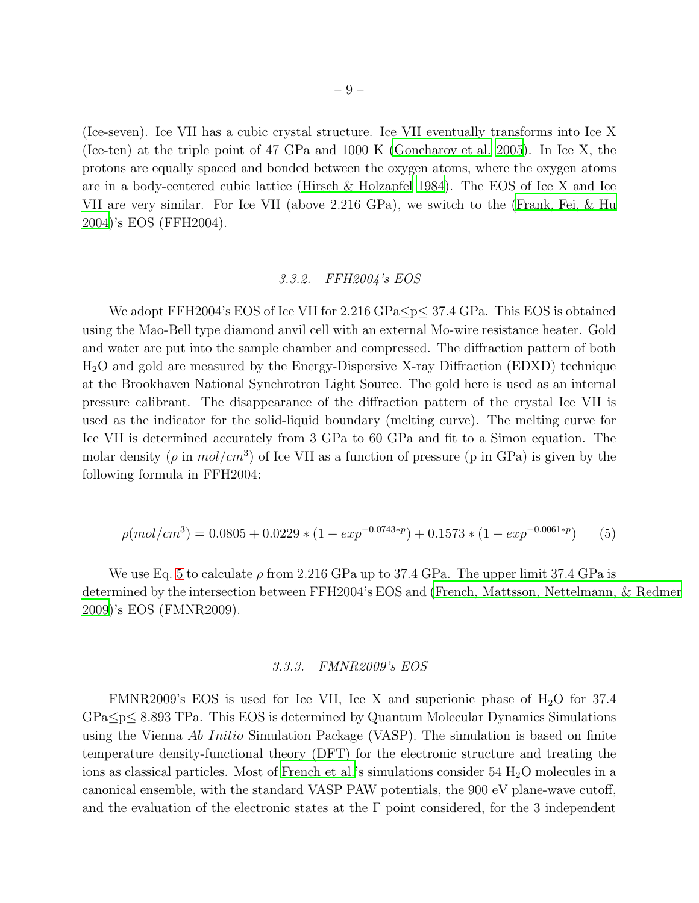(Ice-seven). Ice VII has a cubic crystal structure. Ice VII eventually transforms into Ice X (Ice-ten) at the triple point of 47 GPa and 1000 K [\(Goncharov et al.](#page-26-12) [2005](#page-26-12)). In Ice X, the protons are equally spaced and bonded between the oxygen atoms, where the oxygen atoms are in a body-centered cubic lattice [\(Hirsch & Holzapfel 1984\)](#page-26-13). The EOS of Ice X and Ice VII are very similar. For Ice VII (above 2.216 GPa), we switch to the [\(Frank, Fei, & Hu](#page-25-11) [2004\)](#page-25-11)'s EOS (FFH2004).

## 3.3.2. FFH2004's EOS

We adopt FFH2004's EOS of Ice VII for 2.216 GPa≤p≤ 37.4 GPa. This EOS is obtained using the Mao-Bell type diamond anvil cell with an external Mo-wire resistance heater. Gold and water are put into the sample chamber and compressed. The diffraction pattern of both H2O and gold are measured by the Energy-Dispersive X-ray Diffraction (EDXD) technique at the Brookhaven National Synchrotron Light Source. The gold here is used as an internal pressure calibrant. The disappearance of the diffraction pattern of the crystal Ice VII is used as the indicator for the solid-liquid boundary (melting curve). The melting curve for Ice VII is determined accurately from 3 GPa to 60 GPa and fit to a Simon equation. The molar density ( $\rho$  in  $mol/cm^3$ ) of Ice VII as a function of pressure (p in GPa) is given by the following formula in FFH2004:

<span id="page-8-0"></span>
$$
\rho(mol/cm^3) = 0.0805 + 0.0229 * (1 - exp^{-0.0743*p}) + 0.1573 * (1 - exp^{-0.0061*p})
$$
 (5)

We use Eq. [5](#page-8-0) to calculate  $\rho$  from 2.216 GPa up to 37.4 GPa. The upper limit 37.4 GPa is determined by the intersection between FFH2004's EOS and [\(French, Mattsson, Nettelmann, & Redmer](#page-26-6) [2009\)](#page-26-6)'s EOS (FMNR2009).

#### 3.3.3. FMNR2009's EOS

FMNR2009's EOS is used for Ice VII, Ice X and superionic phase of  $H_2O$  for 37.4  $GPa\leq p\leq 8.893$  TPa. This EOS is determined by Quantum Molecular Dynamics Simulations using the Vienna Ab Initio Simulation Package (VASP). The simulation is based on finite temperature density-functional theory (DFT) for the electronic structure and treating the ions as classical particles. Most of [French et al.'](#page-26-6)s simulations consider  $54 H<sub>2</sub>O$  molecules in a canonical ensemble, with the standard VASP PAW potentials, the 900 eV plane-wave cutoff, and the evaluation of the electronic states at the  $\Gamma$  point considered, for the 3 independent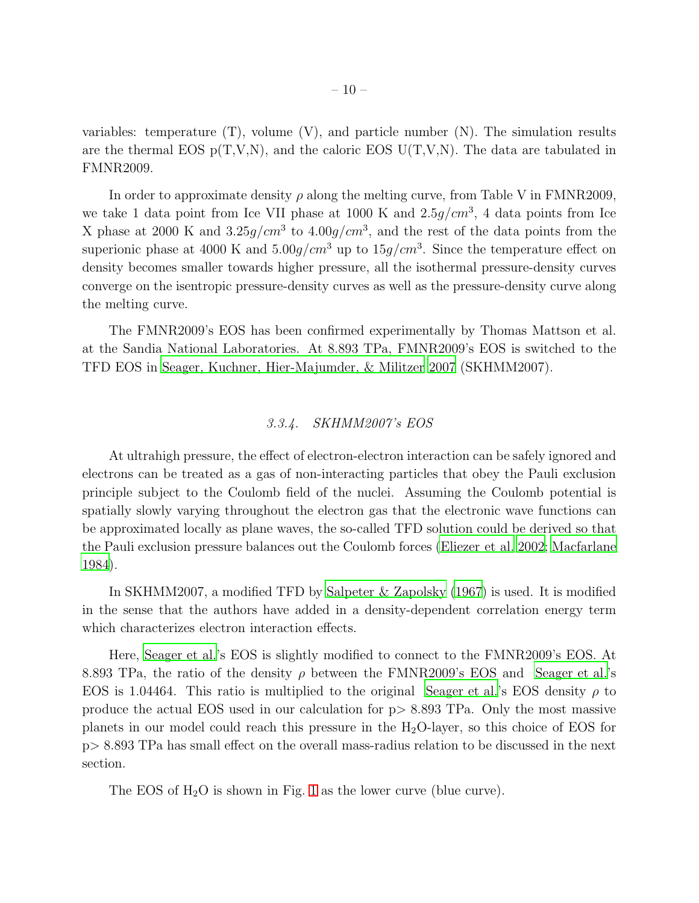variables: temperature  $(T)$ , volume  $(V)$ , and particle number  $(N)$ . The simulation results are the thermal EOS  $p(T,V,N)$ , and the caloric EOS  $U(T,V,N)$ . The data are tabulated in FMNR2009.

In order to approximate density  $\rho$  along the melting curve, from Table V in FMNR2009, we take 1 data point from Ice VII phase at 1000 K and  $2.5g/cm^3$ , 4 data points from Ice X phase at 2000 K and  $3.25g/cm^3$  to  $4.00g/cm^3$ , and the rest of the data points from the superionic phase at 4000 K and  $5.00g/cm^3$  up to  $15g/cm^3$ . Since the temperature effect on density becomes smaller towards higher pressure, all the isothermal pressure-density curves converge on the isentropic pressure-density curves as well as the pressure-density curve along the melting curve.

The FMNR2009's EOS has been confirmed experimentally by Thomas Mattson et al. at the Sandia National Laboratories. At 8.893 TPa, FMNR2009's EOS is switched to the TFD EOS in [Seager, Kuchner, Hier-Majumder, & Militzer 2007](#page-27-1) (SKHMM2007).

## 3.3.4. SKHMM2007's EOS

At ultrahigh pressure, the effect of electron-electron interaction can be safely ignored and electrons can be treated as a gas of non-interacting particles that obey the Pauli exclusion principle subject to the Coulomb field of the nuclei. Assuming the Coulomb potential is spatially slowly varying throughout the electron gas that the electronic wave functions can be approximated locally as plane waves, the so-called TFD solution could be derived so that the Pauli exclusion pressure balances out the Coulomb forces [\(Eliezer et al. 2002](#page-25-12); [Macfarlane](#page-26-14) [1984\)](#page-26-14).

In SKHMM2007, a modified TFD by [Salpeter & Zapolsky \(1967\)](#page-27-13) is used. It is modified in the sense that the authors have added in a density-dependent correlation energy term which characterizes electron interaction effects.

Here, [Seager et al.'](#page-27-1)s EOS is slightly modified to connect to the FMNR2009's EOS. At 8.893 TPa, the ratio of the density  $\rho$  between the FMNR2009's EOS and [Seager et al.](#page-27-1)'s EOS is 1.04464. This ratio is multiplied to the original [Seager et al.](#page-27-1)'s EOS density  $\rho$  to produce the actual EOS used in our calculation for p> 8.893 TPa. Only the most massive planets in our model could reach this pressure in the  $H_2O$ -layer, so this choice of EOS for p> 8.893 TPa has small effect on the overall mass-radius relation to be discussed in the next section.

The EOS of  $H_2O$  is shown in Fig. [1](#page-5-0) as the lower curve (blue curve).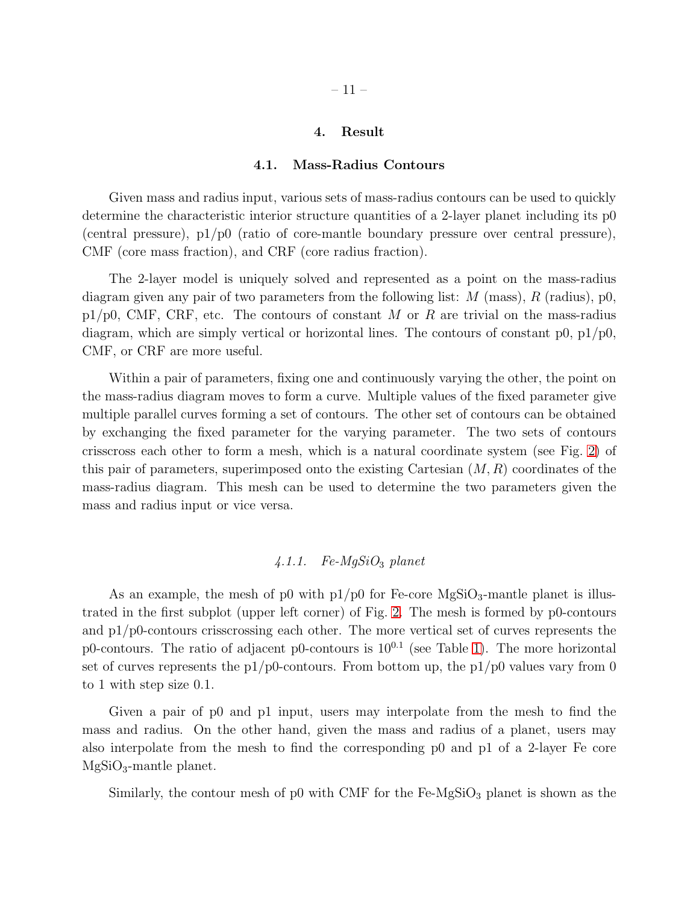#### 4. Result

#### 4.1. Mass-Radius Contours

Given mass and radius input, various sets of mass-radius contours can be used to quickly determine the characteristic interior structure quantities of a 2-layer planet including its p0 (central pressure), p1/p0 (ratio of core-mantle boundary pressure over central pressure), CMF (core mass fraction), and CRF (core radius fraction).

The 2-layer model is uniquely solved and represented as a point on the mass-radius diagram given any pair of two parameters from the following list:  $M$  (mass),  $R$  (radius),  $p0$ ,  $p1/p0$ , CMF, CRF, etc. The contours of constant M or R are trivial on the mass-radius diagram, which are simply vertical or horizontal lines. The contours of constant  $p_0$ ,  $p_1/p_0$ , CMF, or CRF are more useful.

Within a pair of parameters, fixing one and continuously varying the other, the point on the mass-radius diagram moves to form a curve. Multiple values of the fixed parameter give multiple parallel curves forming a set of contours. The other set of contours can be obtained by exchanging the fixed parameter for the varying parameter. The two sets of contours crisscross each other to form a mesh, which is a natural coordinate system (see Fig. [2\)](#page-11-0) of this pair of parameters, superimposed onto the existing Cartesian  $(M, R)$  coordinates of the mass-radius diagram. This mesh can be used to determine the two parameters given the mass and radius input or vice versa.

## $4.1.1.$  Fe-MqSiO<sub>3</sub> planet

As an example, the mesh of p0 with  $p1/p0$  for Fe-core MgSiO<sub>3</sub>-mantle planet is illustrated in the first subplot (upper left corner) of Fig. [2.](#page-11-0) The mesh is formed by p0-contours and  $p1/p0$ -contours crisscrossing each other. The more vertical set of curves represents the p0-contours. The ratio of adjacent p0-contours is  $10^{0.1}$  (see Table [1\)](#page-15-0). The more horizontal set of curves represents the p1/p0-contours. From bottom up, the p1/p0 values vary from 0 to 1 with step size 0.1.

Given a pair of p0 and p1 input, users may interpolate from the mesh to find the mass and radius. On the other hand, given the mass and radius of a planet, users may also interpolate from the mesh to find the corresponding p0 and p1 of a 2-layer Fe core  $MgSiO<sub>3</sub>$ -mantle planet.

Similarly, the contour mesh of p0 with CMF for the Fe-MgSi $O_3$  planet is shown as the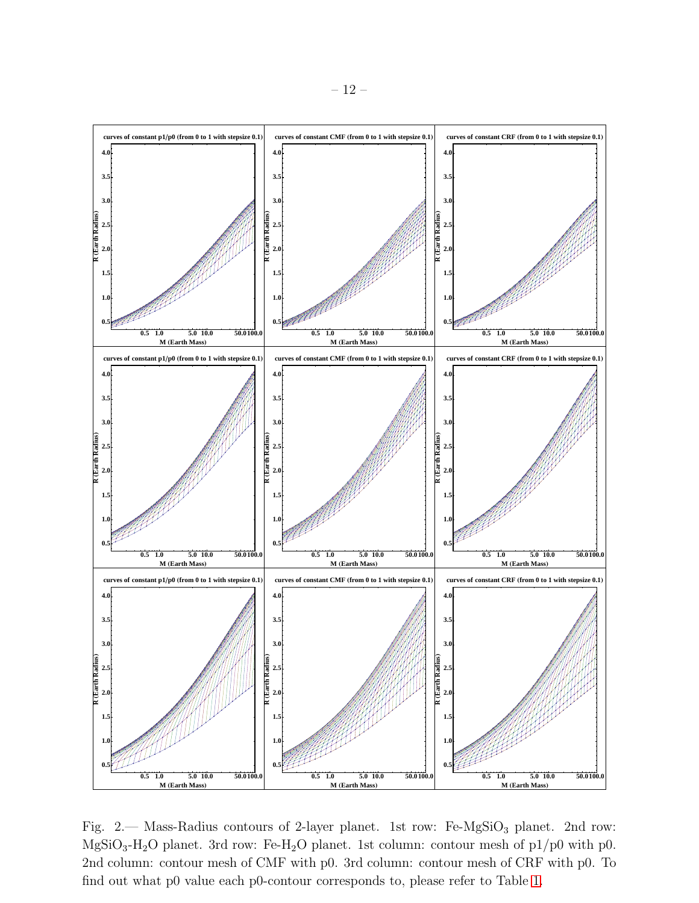

<span id="page-11-0"></span>Fig. 2.— Mass-Radius contours of 2-layer planet. 1st row:  $Fe-MgSiO<sub>3</sub>$  planet. 2nd row: MgSiO<sub>3</sub>-H<sub>2</sub>O planet. 3rd row: Fe-H<sub>2</sub>O planet. 1st column: contour mesh of  $p1/p0$  with p0. 2nd column: contour mesh of CMF with p0. 3rd column: contour mesh of CRF with p0. To find out what p0 value each p0-contour corresponds to, please refer to Table [1.](#page-15-0)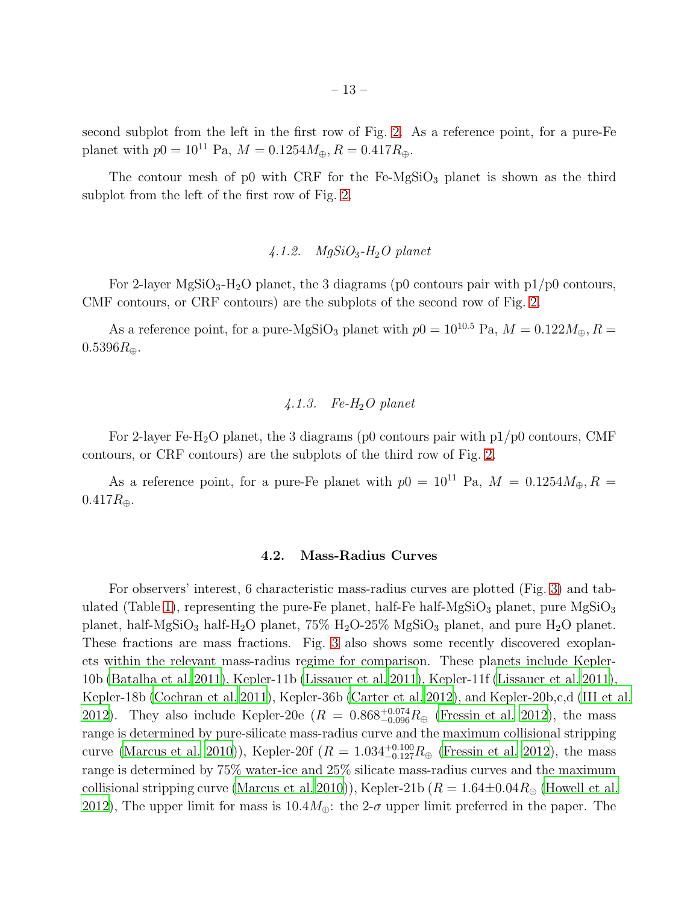second subplot from the left in the first row of Fig. [2.](#page-11-0) As a reference point, for a pure-Fe planet with  $p0 = 10^{11}$  Pa,  $M = 0.1254 M_{\oplus}$ ,  $R = 0.417 R_{\oplus}$ .

The contour mesh of p0 with CRF for the  $Fe-MgSiO<sub>3</sub>$  planet is shown as the third subplot from the left of the first row of Fig. [2.](#page-11-0)

## $\angle 4.1.2.$  MgSiO<sub>3</sub>-H<sub>2</sub>O planet

For 2-layer MgSiO<sub>3</sub>-H<sub>2</sub>O planet, the 3 diagrams (p0 contours pair with p1/p0 contours, CMF contours, or CRF contours) are the subplots of the second row of Fig. [2.](#page-11-0)

As a reference point, for a pure-MgSiO<sub>3</sub> planet with  $p0 = 10^{10.5}$  Pa,  $M = 0.122 M_{\oplus}$ ,  $R =$  $0.5396R_{\oplus}$ .

## 4.1.3. Fe-H<sub>2</sub>O planet

For 2-layer Fe-H<sub>2</sub>O planet, the 3 diagrams (p0 contours pair with  $p1/p0$  contours, CMF contours, or CRF contours) are the subplots of the third row of Fig. [2.](#page-11-0)

<span id="page-12-0"></span>As a reference point, for a pure-Fe planet with  $p0 = 10^{11}$  Pa,  $M = 0.1254M_{\oplus}$ ,  $R =$  $0.417R_{\oplus}$ .

#### 4.2. Mass-Radius Curves

For observers' interest, 6 characteristic mass-radius curves are plotted (Fig. [3\)](#page-14-0) and tab-ulated (Table [1\)](#page-15-0), representing the pure-Fe planet, half-Fe half-MgSiO<sub>3</sub> planet, pure MgSiO<sub>3</sub> planet, half-MgSiO<sub>3</sub> half-H<sub>2</sub>O planet, 75% H<sub>2</sub>O-25% MgSiO<sub>3</sub> planet, and pure H<sub>2</sub>O planet. These fractions are mass fractions. Fig. [3](#page-14-0) also shows some recently discovered exoplanets within the relevant mass-radius regime for comparison. These planets include Kepler-10b [\(Batalha et al. 2011\)](#page-25-0), Kepler-11b [\(Lissauer et al. 2011](#page-26-15)), Kepler-11f [\(Lissauer et al. 2011\)](#page-26-15), Kepler-18b [\(Cochran et al. 2011\)](#page-25-13), Kepler-36b [\(Carter et al. 2012\)](#page-25-1), and Kepler-20b,c,d [\(III et al.](#page-26-16) [2012\)](#page-26-16). They also include Kepler-20e  $(R = 0.868^{+0.074}_{-0.096} R_{\oplus}$  [\(Fressin et al. 2012\)](#page-26-17), the mass range is determined by pure-silicate mass-radius curve and the maximum collisional stripping curve [\(Marcus et al. 2010\)](#page-26-18)), Kepler-20f ( $R = 1.034_{-0.127}^{+0.100} R_{\oplus}$  [\(Fressin et al. 2012\)](#page-26-17), the mass range is determined by 75% water-ice and 25% silicate mass-radius curves and the maximum collisional stripping curve [\(Marcus et al. 2010\)](#page-26-18)), Kepler-21b ( $R = 1.64 \pm 0.04 R_{\oplus}$  [\(Howell et al.](#page-26-19) [2012\)](#page-26-19), The upper limit for mass is  $10.4M_{\oplus}$ : the 2- $\sigma$  upper limit preferred in the paper. The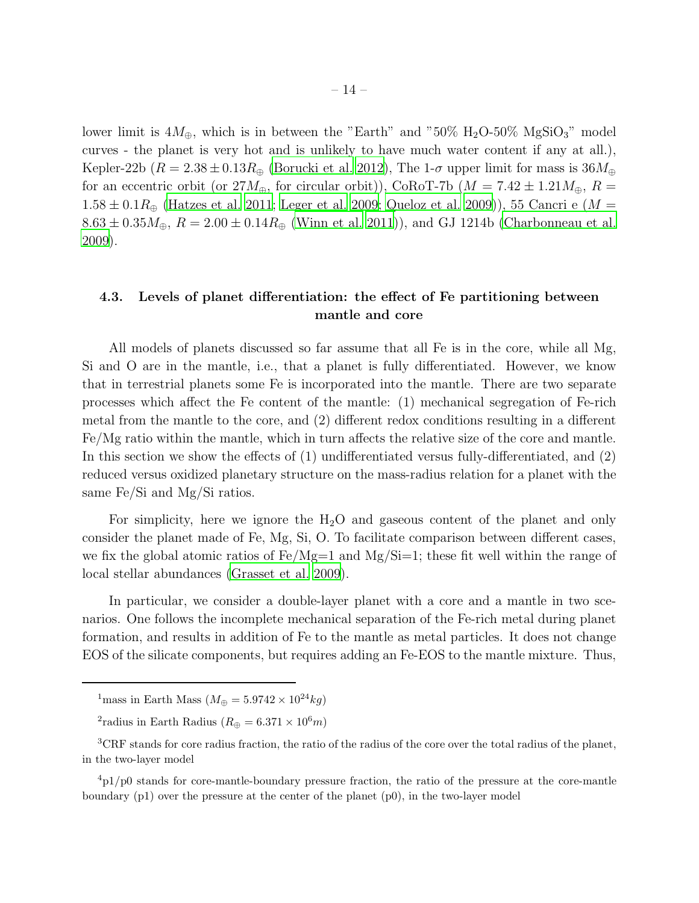lower limit is  $4M_{\oplus}$ , which is in between the "Earth" and "50% H<sub>2</sub>O-50% MgSiO<sub>3</sub>" model curves - the planet is very hot and is unlikely to have much water content if any at all.), Kepler-22b ( $R = 2.38 \pm 0.13 R_{\oplus}$  [\(Borucki et al. 2012](#page-25-14)), The 1- $\sigma$  upper limit for mass is 36 $M_{\oplus}$ for an eccentric orbit (or  $27M_{\oplus}$ , for circular orbit)), CoRoT-7b ( $M = 7.42 \pm 1.21M_{\oplus}$ ,  $R =$  $1.58 \pm 0.1 R_{\oplus}$  [\(Hatzes et al. 2011;](#page-26-1) [Leger et al. 2009](#page-26-20); [Queloz et al. 2009](#page-26-0))), 55 Cancri e (M =  $8.63 \pm 0.35 M_{\oplus}$ ,  $R = 2.00 \pm 0.14 R_{\oplus}$  [\(Winn et al. 2011\)](#page-27-15)), and GJ 1214b [\(Charbonneau et al.](#page-25-15) [2009\)](#page-25-15).

## <span id="page-13-0"></span>4.3. Levels of planet differentiation: the effect of Fe partitioning between mantle and core

All models of planets discussed so far assume that all Fe is in the core, while all Mg, Si and O are in the mantle, i.e., that a planet is fully differentiated. However, we know that in terrestrial planets some Fe is incorporated into the mantle. There are two separate processes which affect the Fe content of the mantle: (1) mechanical segregation of Fe-rich metal from the mantle to the core, and (2) different redox conditions resulting in a different Fe/Mg ratio within the mantle, which in turn affects the relative size of the core and mantle. In this section we show the effects of (1) undifferentiated versus fully-differentiated, and (2) reduced versus oxidized planetary structure on the mass-radius relation for a planet with the same Fe/Si and Mg/Si ratios.

For simplicity, here we ignore the  $H_2O$  and gaseous content of the planet and only consider the planet made of Fe, Mg, Si, O. To facilitate comparison between different cases, we fix the global atomic ratios of  $Fe/Mg=1$  and  $Mg/Si=1$ ; these fit well within the range of local stellar abundances [\(Grasset et al. 2009](#page-26-2)).

In particular, we consider a double-layer planet with a core and a mantle in two scenarios. One follows the incomplete mechanical separation of the Fe-rich metal during planet formation, and results in addition of Fe to the mantle as metal particles. It does not change EOS of the silicate components, but requires adding an Fe-EOS to the mantle mixture. Thus,

<sup>1</sup>mass in Earth Mass ( $M_{\oplus} = 5.9742 \times 10^{24} kg$ )

<sup>2</sup>radius in Earth Radius ( $R_{\oplus} = 6.371 \times 10^6 m$ )

 $^{4}$ p1/p0 stands for core-mantle-boundary pressure fraction, the ratio of the pressure at the core-mantle boundary (p1) over the pressure at the center of the planet (p0), in the two-layer model

<sup>3</sup>CRF stands for core radius fraction, the ratio of the radius of the core over the total radius of the planet, in the two-layer model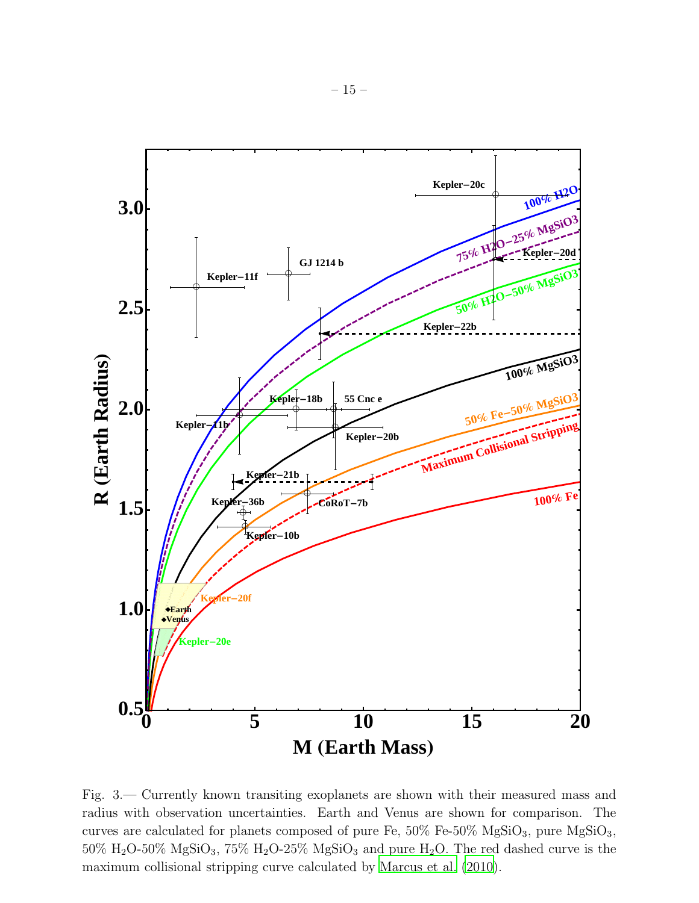

<span id="page-14-0"></span>Fig. 3.— Currently known transiting exoplanets are shown with their measured mass and radius with observation uncertainties. Earth and Venus are shown for comparison. The curves are calculated for planets composed of pure Fe,  $50\%$  Fe- $50\%$  MgSiO<sub>3</sub>, pure MgSiO<sub>3</sub>,  $50\%$   $\rm H_2O\text{-}50\%$   $\rm MgSiO_3,$   $75\%$   $\rm H_2O\text{-}25\%$   $\rm MgSiO_3$  and pure  $\rm H_2O.$  The red dashed curve is the maximum collisional stripping curve calculated by [Marcus et al. \(2010](#page-26-18)).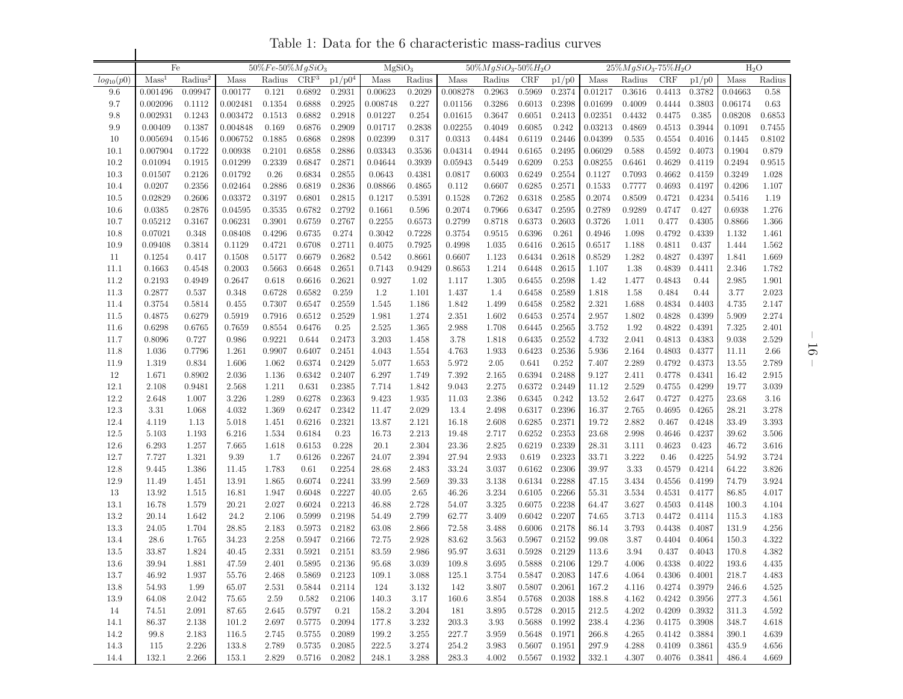$\begin{tabular}{l|c|c|c|c|c|c|c|c} \hline Fe & $50\%Fe$-50\%MgSiO_{3}$ & MgSiO_{3}$ & $50\%MgSiC\\ \hline \textit{Radius}^{2}$ & Mass & Radius & CRF^{3}$ & $p1/p0^{4}$ & Mass & Radius & Mass & Radius \\ \hline \end{tabular}$  $CRF$  $50\%MgSiO_3 - 50\%H_2O$  $0$   $25\%MgSiO_3-75\%H_2O$  $CRF$  $H<sub>2</sub>O$  $log_{10}(p0)$  $)$  Mass<sup>1</sup> 0.001496  $\rm_{1}$  Radius<sup>2</sup> 0.09947  $\begin{array}{ccc}\text{Mass} & \text{Radius} \\ \hline 0.00177 & 0.121\end{array}$ 0.6892  $CRF<sup>3</sup>$ <sup>3</sup>  $p1/p0^4$ 0.2931 Mass Radius Mass Radius CRF <sup>p</sup>1/p0 Mass Radius CRF <sup>p</sup>1/p0 Mass Radius 9.6 $6$   $\big|$   $0.001496$   $\big|$   $0.09947$   $\big|$   $0.0177$   $\big|$   $0.121$   $\big|$   $0.6892$   $\big|$   $0.2931$   $\big|$   $\big|$   $0.00623$   $\big|$   $0.008278$   $\big|$   $0.2963$   $\big|$   $0.5699$   $\big|$   $0.2374$   $\big|$   $0.01217$   $\big|$   $0.3616$   $\big|$   $0.4$ 9.7 0.002096 0.1112 0.002481 0.1354 0.6888 0.2925 0.008748 0.227 0.01156 0.3286 0.6013 0.2398 0.01699 0.4009 0.4444 0.3803 0.06174 0.63 9.88  $\big| 0.002931$  0.1243  $\big| 0.003472$  0.1513 0.6882 0.2918 0.01227 0.254 0.01615 0.3647 0.6051 0.2413 0.02351 0.4432 0.4475 0.385 0.08208 0.6853 9.9 $9\quad 0.00409\quad 0.1387\quad 0.004848\quad 0.169\quad 0.6876\quad 0.2909\quad 0.01717\quad 0.2838\quad 0.02255\quad 0.4049\quad 0.6085\quad 0.242\quad 0.03213\quad 0.4869\quad 0.4513\quad 0.3944\quad 0.1091\quad 0.74555\quad 0.00409\quad 0.00000\quad 0.00000\quad 0.00000\quad 0.00000\quad$ 100 | 0.005694 0.1546 | 0.006752 0.1885 0.6868 0.2898 | 0.02399 0.317 | 0.0313 0.4484 0.6119 0.2446 | 0.04399 0.535 0.4554 0.4016 | 0.1445 0.8102 10.1 $\frac{1}{1}$   $\frac{0.007904}{0.1722}$   $\frac{0.00938}{0.2101}$   $\frac{0.6858}{0.879}$   $\frac{0.23343}{0.3536}$   $\frac{0.3536}{0.4314}$   $\frac{0.4944}{0.4944}$   $\frac{0.6165}{0.2495}$   $\frac{0.2495}{0.06029}$   $\frac{0.588}{0.588}$   $\frac{0.4592}{0.4073}$   $\frac{0.190$ 10.2 $\footnotesize{2\quad}$  0.01094 0.1915  $\footnotesize{0.01299\quad0.2339\quad0.6847\quad0.2871}$  0.04644 0.3939 0.05943 0.5449 0.6209 0.253 0.08255 0.6461 0.4629 0.4119 0.2494 0.9515 10.3 0.01507 0.2126 0.01792 0.26 0.6834 0.2855 0.0643 0.4381 0.0817 0.6003 0.6249 0.2554 0.1127 0.7093 0.4662 0.4159 0.3249 1.028 10.4 $\frac{4}{100007}$  0.2356  $\left[ \begin{array}{cccc} 0.02464 & 0.2886 & 0.6819 & 0.2836 \end{array} \right]$  0.08866 0.4865 0.112 0.6607 0.6285 0.2571 0.1533 0.7777 0.4693 0.4197 0.4206 1.107 10.5 $5\quad\quad 0.02829\quad 0.2606\quad\quad 0.03372\quad 0.3197\quad 0.6801\quad 0.2815\quad\quad 0.1217\quad 0.5391\quad\quad 0.1528\quad 0.7262\quad 0.6318\quad 0.2585\quad\quad 0.2074\quad 0.8509\quad 0.4721\quad 0.4234\quad\quad 0.5416\quad \quad 1.1928\quad 0.0001\quad 0.00123$ 10.6 $6$   $\big|$   $0.0385$   $0.2876$   $\big|$   $0.04595$   $0.3535$   $0.6782$   $0.2792$   $\big|$   $0.1661$   $0.596$   $\big|$   $0.2074$   $0.7966$   $0.6347$   $0.2595$   $0.2789$   $0.2789$   $0.9289$   $0.4747$   $0.427$   $0.6938$   $1.276$ 10.7 0.05212 0.3167 0.06231 0.3901 0.6759 0.2767 0.2255 0.6573 0.2799 0.8718 0.6373 0.2603 0.3726 1.011 0.477 0.4305 0.8866 1.366 10.8 0.07021 0.348 0.08408 0.4296 0.6735 0.274 0.3042 0.7228 0.3754 0.9515 0.6396 0.261 0.4946 1.098 0.4792 0.4339 1.132 1.461 10.9 0.09408 0.3814 0.1129 0.4721 0.6708 0.2711 0.4075 0.7925 0.4998 1.035 0.6416 0.2615 0.6517 1.188 0.4811 0.437 1.444 1.562 11 0.1254 0.417 0.1508 0.5177 0.6679 0.2682 0.542 0.8661 0.6607 1.123 0.6434 0.2618 0.8529 1.282 0.4827 0.4397 1.841 1.669 11.1 0.1663 0.4548 0.2003 0.5663 0.6648 0.2651 0.7143 0.9429 0.8653 1.214 0.6448 0.2615 1.107 1.38 0.4839 0.4411 2.346 1.782 11.2 0.2193 0.4949 0.2647 0.618 0.6616 0.2621 0.927 1.02 1.117 1.305 0.6455 0.2598 1.42 1.477 0.4843 0.44 2.985 1.901 11.3 0.2877 0.537 0.348 0.6728 0.6582 0.259 1.2 1.101 1.437 1.4 0.6458 0.2589 1.818 1.58 0.484 0.44 3.77 2.023 11.4 0.3754 0.5814 0.455 0.7307 0.6547 0.2559 1.545 1.186 1.842 1.499 0.6458 0.2582 2.321 1.688 0.4834 0.4403 4.735 2.147 11.5 0.4875 0.6279 0.5919 0.7916 0.6512 0.2529 1.981 1.274 2.351 1.602 0.6453 0.2574 2.957 1.802 0.4828 0.4399 5.909 2.274 11.6 $6$   $\big|$   $0.6298$   $0.6765$   $\big|$   $0.7659$   $0.8554$   $0.6476$   $0.25$   $\big|$   $2.525$   $1.365$   $\big|$   $2.988$   $1.708$   $0.6445$   $0.2565$   $\big|$   $3.752$   $1.92$   $0.4822$   $0.4391$   $7.325$   $2.401$ 11.7 0.8096 0.727 0.986 0.9221 0.644 0.2473 3.203 1.458 3.78 1.818 0.6435 0.2552 4.732 2.041 0.4813 0.4383 9.038 2.529 11.8 1.036 0.7796 1.261 0.9907 0.6407 0.2451 4.043 1.554 4.763 1.933 0.6423 0.2536 5.936 2.164 0.4803 0.4377 11.11 2.66 11.9 $1.319$   $0.834$   $1.606$   $1.062$   $0.6374$   $0.2429$   $5.077$   $1.653$   $5.972$   $2.05$   $0.641$   $0.252$   $7.407$   $2.289$   $0.4792$   $0.4373$   $13.55$   $2.789$ 12 1.671 0.8902 2.036 1.136 0.6342 0.2407 6.297 1.749 7.392 2.165 0.6394 0.2488 9.127 2.411 0.4778 0.4341 16.42 2.915 12.1 2.108 0.9481 2.568 1.211 0.631 0.2385 7.714 1.842 9.043 2.275 0.6372 0.2449 11.12 2.529 0.4755 0.4299 19.77 3.039 12.2 2.648 1.007 3.226 1.289 0.6278 0.2363 9.423 1.935 11.03 2.386 0.6345 0.242 13.52 2.647 0.4727 0.4275 23.68 3.16 12.3 3.31 1.068 4.032 1.369 0.6247 0.2342 11.47 2.029 13.4 2.498 0.6317 0.2396 16.37 2.765 0.4695 0.4265 28.21 3.278 12.4 4.119 1.13 5.018 1.451 0.6216 0.2321 13.87 2.121 16.18 2.608 0.6285 0.2371 19.72 2.882 0.467 0.4248 33.49 3.393 12.5 5.103 1.193 6.216 1.534 0.6184 0.23 16.73 2.213 19.48 2.717 0.6252 0.2353 23.68 2.998 0.4646 0.4237 39.62 3.506 12.6 6.293 1.257 7.665 1.618 0.6153 0.228 20.1 2.304 23.36 2.825 0.6219 0.2339 28.31 3.111 0.4623 0.423 46.72 3.616 12.7 7.727 1.321 9.39 1.7 0.6126 0.2267 24.07 2.394 27.94 2.933 0.619 0.2323 33.71 3.222 0.46 0.4225 54.92 3.724 12.8 9.445 1.386 11.45 1.783 0.61 0.2254 28.68 2.483 33.24 3.037 0.6162 0.2306 39.97 3.33 0.4579 0.4214 64.22 3.826 12.9 11.49 1.451 13.91 1.865 0.6074 0.2241 33.99 2.569 39.33 3.138 0.6134 0.2288 47.15 3.434 0.4556 0.4199 74.79 3.924 13 13.92 1.515 16.81 1.947 0.6048 0.2227 40.05 2.65 46.26 3.234 0.6105 0.2266 55.31 3.534 0.4531 0.4177 86.85 4.017 13.1 16.78 1.579 20.21 2.027 0.6024 0.2213 46.88 2.728 54.07 3.325 0.6075 0.2238 64.47 3.627 0.4503 0.4148 100.3 4.104 13.2 20.14 1.642 24.2 2.106 0.5999 0.2198 54.49 2.799 62.77 3.409 0.6042 0.2207 74.65 3.713 0.4472 0.4114 115.3 4.183 13.3 24.05 1.704 28.85 2.183 0.5973 0.2182 63.08 2.866 72.58 3.488 0.6006 0.2178 86.14 3.793 0.4438 0.4087 131.9 4.256 13.4 28.6 1.765 34.23 2.258 0.5947 0.2166 72.75 2.928 83.62 3.563 0.5967 0.2152 99.08 3.87 0.4404 0.4064 150.3 4.322 13.5 33.87 1.824 40.45 2.331 0.5921 0.2151 83.59 2.986 95.97 3.631 0.5928 0.2129 113.6 3.94 0.437 0.4043 170.8 4.382 13.6 39.94 1.881 47.59 2.401 0.5895 0.2136 95.68 3.039 109.8 3.695 0.5888 0.2106 129.7 4.006 0.4338 0.4022 193.6 4.435 13.7 46.92 1.937 55.76 2.468 0.5869 0.2123 109.1 3.088 125.1 3.754 0.5847 0.2083 147.6 4.064 0.4306 0.4001 218.7 4.483 13.8 54.93 1.99 65.07 2.531 0.5844 0.2114 <sup>124</sup> 3.132 <sup>142</sup> 3.807 0.5807 0.2061 167.2 4.116 0.4274 0.3979 246.6 4.525 13.9 64.08 2.042 75.65 2.59 0.582 0.2106 140.3 3.17 160.6 3.854 0.5768 0.2038 188.8 4.162 0.4242 0.3956 277.3 4.561 14 74.51 2.091 87.65 2.645 0.5797 0.21 158.2 3.204 <sup>181</sup> 3.895 0.5728 0.2015 212.5 4.202 0.4209 0.3932 311.3 4.592 14.1 86.37 2.138 101.2 2.697 0.5775 0.2094 177.8 3.232 203.3 3.93 0.5688 0.1992 238.4 4.236 0.4175 0.3908 348.7 4.618 14.2 99.8 2.183 116.5 2.745 0.5755 0.2089 199.2 3.255 227.7 3.959 0.5648 0.1971 266.8 4.265 0.4142 0.3884 390.1 4.639 14.3 <sup>115</sup> 2.226 133.8 2.789 0.5735 0.2085 222.5 3.274 254.2 3.983 0.5607 0.1951 297.9 4.288 0.4109 0.3861 435.9 4.656 14.4132.1 2.266 153.1 2.829 0.5716 0.2082 248.1 3.288 283.3 4.002 0.5567 0.1932 332.1 4.307 0.4076 0.3841 486.4 4.669

Table 1: Data for the <sup>6</sup> characteristic mass-radius curves

<span id="page-15-0"></span> $\sigma$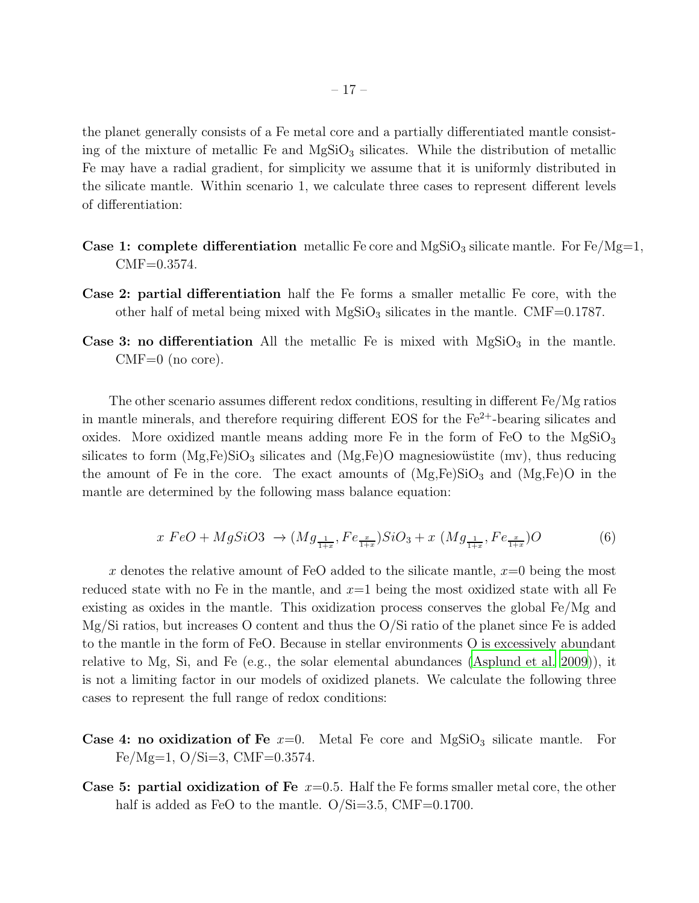the planet generally consists of a Fe metal core and a partially differentiated mantle consisting of the mixture of metallic Fe and  $MgSiO<sub>3</sub>$  silicates. While the distribution of metallic Fe may have a radial gradient, for simplicity we assume that it is uniformly distributed in the silicate mantle. Within scenario 1, we calculate three cases to represent different levels of differentiation:

- **Case 1: complete differentiation** metallic Fe core and  $MgSiO<sub>3</sub>$  silicate mantle. For Fe/Mg=1, CMF=0.3574.
- Case 2: partial differentiation half the Fe forms a smaller metallic Fe core, with the other half of metal being mixed with  $MgSiO<sub>3</sub>$  silicates in the mantle. CMF=0.1787.
- **Case 3: no differentiation** All the metallic Fe is mixed with  $MgSiO<sub>3</sub>$  in the mantle.  $CMF=0$  (no core).

The other scenario assumes different redox conditions, resulting in different Fe/Mg ratios in mantle minerals, and therefore requiring different EOS for the  $Fe<sup>2+</sup>$ -bearing silicates and oxides. More oxidized mantle means adding more Fe in the form of FeO to the  $MgSiO<sub>3</sub>$ silicates to form  $(Mg,Fe)SiO<sub>3</sub>$  silicates and  $(Mg,Fe)O$  magnesiow ustite (mv), thus reducing the amount of Fe in the core. The exact amounts of  $(Mg,Fe)SiO<sub>3</sub>$  and  $(Mg,Fe)O$  in the mantle are determined by the following mass balance equation:

<span id="page-16-0"></span>
$$
x \ FeO + MgSiO3 \ \to (Mg_{\frac{1}{1+x}}, Fe_{\frac{x}{1+x}})SiO_3 + x \ (Mg_{\frac{1}{1+x}}, Fe_{\frac{x}{1+x}})O \tag{6}
$$

x denotes the relative amount of FeO added to the silicate mantle,  $x=0$  being the most reduced state with no Fe in the mantle, and  $x=1$  being the most oxidized state with all Fe existing as oxides in the mantle. This oxidization process conserves the global Fe/Mg and Mg/Si ratios, but increases O content and thus the O/Si ratio of the planet since Fe is added to the mantle in the form of FeO. Because in stellar environments O is excessively abundant relative to Mg, Si, and Fe (e.g., the solar elemental abundances [\(Asplund et al. 2009\)](#page-25-16)), it is not a limiting factor in our models of oxidized planets. We calculate the following three cases to represent the full range of redox conditions:

- **Case 4: no oxidization of Fe**  $x=0$ . Metal Fe core and MgSiO<sub>3</sub> silicate mantle. For  $Fe/Mg=1, O/Si=3, CMF=0.3574.$
- **Case 5: partial oxidization of Fe**  $x=0.5$ . Half the Fe forms smaller metal core, the other half is added as FeO to the mantle.  $O/Si=3.5$ ,  $CMF=0.1700$ .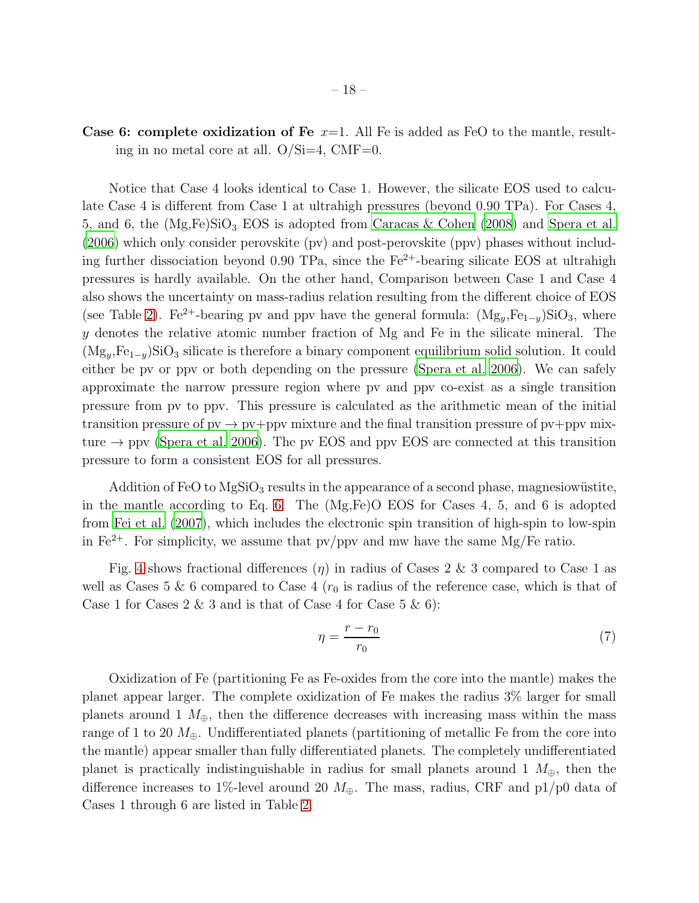**Case 6: complete oxidization of Fe**  $x=1$ . All Fe is added as FeO to the mantle, resulting in no metal core at all.  $O/Si=4$ , CMF=0.

Notice that Case 4 looks identical to Case 1. However, the silicate EOS used to calculate Case 4 is different from Case 1 at ultrahigh pressures (beyond 0.90 TPa). For Cases 4, 5, and 6, the  $(Mg,Fe)SiO<sub>3</sub> EOS$  is adopted from [Caracas & Cohen \(2008\)](#page-25-5) and [Spera et al.](#page-27-10) [\(2006\)](#page-27-10) which only consider perovskite (pv) and post-perovskite (ppv) phases without including further dissociation beyond 0.90 TPa, since the  $Fe^{2+}$ -bearing silicate EOS at ultrahigh pressures is hardly available. On the other hand, Comparison between Case 1 and Case 4 also shows the uncertainty on mass-radius relation resulting from the different choice of EOS (see Table [2\)](#page-19-0). Fe<sup>2+</sup>-bearing pv and ppv have the general formula:  $(Mg_y, Fe_{1-y})SiO_3$ , where y denotes the relative atomic number fraction of Mg and Fe in the silicate mineral. The  $(Mg_y,Fe_{1-y})SiO_3$  silicate is therefore a binary component equilibrium solid solution. It could either be pv or ppv or both depending on the pressure [\(Spera et al.](#page-27-10) [2006](#page-27-10)). We can safely approximate the narrow pressure region where pv and ppv co-exist as a single transition pressure from pv to ppv. This pressure is calculated as the arithmetic mean of the initial transition pressure of  $pv \rightarrow pv+ppv$  mixture and the final transition pressure of  $pv+ppv$  mixture  $\rightarrow$  ppv [\(Spera et al. 2006\)](#page-27-10). The pv EOS and ppv EOS are connected at this transition pressure to form a consistent EOS for all pressures.

Addition of FeO to  $MgSiO<sub>3</sub>$  results in the appearance of a second phase, magnesiowüstite, in the mantle according to Eq. [6.](#page-16-0) The (Mg,Fe)O EOS for Cases 4, 5, and 6 is adopted from [Fei et al. \(2007\)](#page-25-17), which includes the electronic spin transition of high-spin to low-spin in  $Fe^{2+}$ . For simplicity, we assume that pv/ppv and mw have the same Mg/Fe ratio.

Fig. [4](#page-18-0) shows fractional differences  $(\eta)$  in radius of Cases 2 & 3 compared to Case 1 as well as Cases 5 & 6 compared to Case 4 ( $r_0$  is radius of the reference case, which is that of Case 1 for Cases 2  $\&$  3 and is that of Case 4 for Case 5  $\&$  6):

$$
\eta = \frac{r - r_0}{r_0} \tag{7}
$$

Oxidization of Fe (partitioning Fe as Fe-oxides from the core into the mantle) makes the planet appear larger. The complete oxidization of Fe makes the radius 3% larger for small planets around 1  $M_{\oplus}$ , then the difference decreases with increasing mass within the mass range of 1 to 20  $M_{\oplus}$ . Undifferentiated planets (partitioning of metallic Fe from the core into the mantle) appear smaller than fully differentiated planets. The completely undifferentiated planet is practically indistinguishable in radius for small planets around 1  $M_{\oplus}$ , then the difference increases to 1%-level around 20  $M_{\oplus}$ . The mass, radius, CRF and p1/p0 data of Cases 1 through 6 are listed in Table [2.](#page-19-0)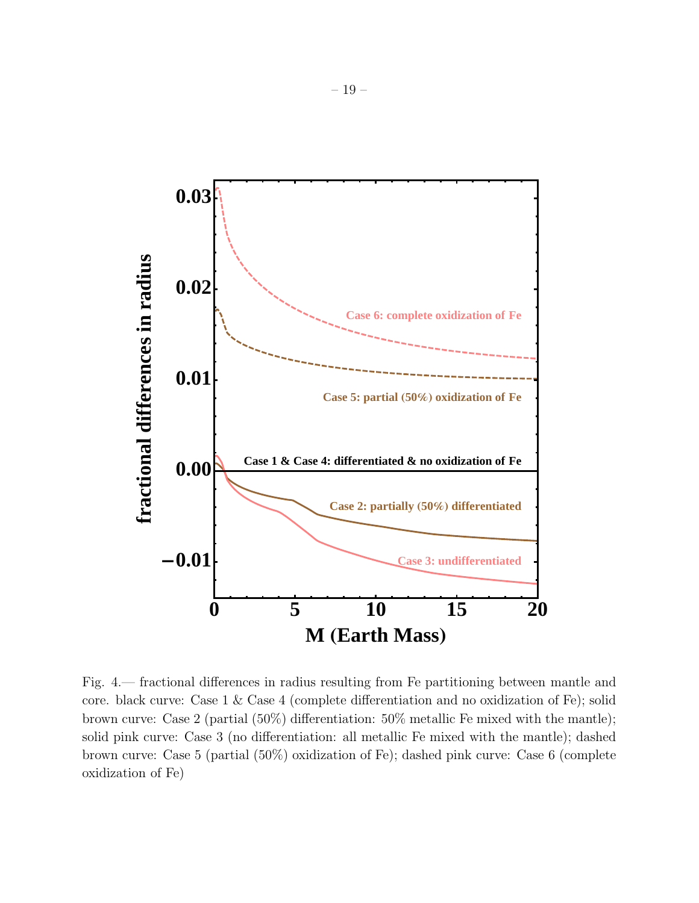

<span id="page-18-0"></span>Fig. 4.— fractional differences in radius resulting from Fe partitioning between mantle and core. black curve: Case 1 & Case 4 (complete differentiation and no oxidization of Fe); solid brown curve: Case 2 (partial (50%) differentiation: 50% metallic Fe mixed with the mantle); solid pink curve: Case 3 (no differentiation: all metallic Fe mixed with the mantle); dashed brown curve: Case 5 (partial (50%) oxidization of Fe); dashed pink curve: Case 6 (complete oxidization of Fe)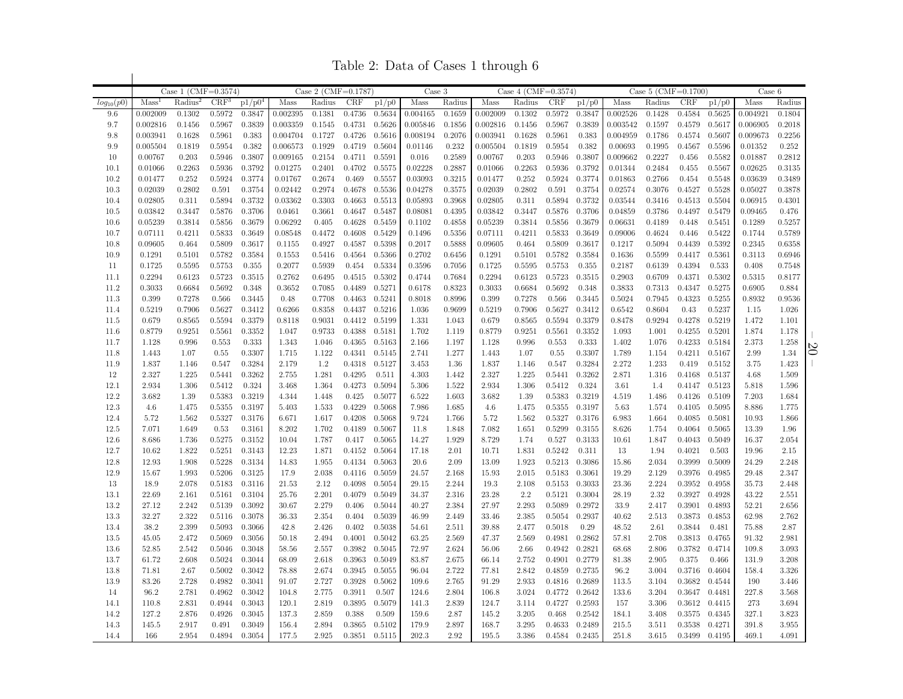Table 2: Data of Cases <sup>1</sup> through <sup>6</sup>

|                | Case $1$ (CMF=0.3574) |                     |                  | Case 2 $(CMF=0.1787)$ |                      |                  |                  | Case 3           |                  |                  | Case $4$ (CMF=0.3574) |                  | Case 5 $(CMF=0.1700)$ |                  | Case 6              |                  |                  |                  |                     |                  |
|----------------|-----------------------|---------------------|------------------|-----------------------|----------------------|------------------|------------------|------------------|------------------|------------------|-----------------------|------------------|-----------------------|------------------|---------------------|------------------|------------------|------------------|---------------------|------------------|
| $log_{10}(p0)$ | Mass <sup>1</sup>     | Radius <sup>2</sup> | CRF <sup>3</sup> | $p1/p0^4$             | Mass                 | Radius           | <b>CRF</b>       | p1/p0            | Mass             | Radius           | Mass                  | Radius           | <b>CRF</b>            | p1/p0            | Mass                | Radius           | CRF              | p1/p0            | Mass                | Radius           |
| 9.6            | 0.002009              | 0.1302              | 0.5972           | 0.3847                | 0.002395             | 0.1381           | 0.4736           | 0.5634           | 0.004165         | 0.1659           | 0.002009              | 0.1302           | 0.5972                | 0.3847           | 0.002526            | 0.1428           | 0.4584           | 0.5625           | 0.004921            | 0.1804           |
| 9.7            | 0.002816              | 0.1456              | 0.5967           | 0.3839                | 0.003359             | 0.1545           | 0.4731           | 0.5626           | 0.005846         | 0.1856           | 0.002816              | 0.1456           | 0.5967                | 0.3839           | 0.003542            | 0.1597           | 0.4579           | 0.5617           | 0.006905            | 0.2018           |
| 9.8            | 0.003941              | 0.1628<br>0.1819    | 0.5961<br>0.5954 | 0.383<br>0.382        | 0.004704<br>0.006573 | 0.1727<br>0.1929 | 0.4726           | 0.5616<br>0.5604 | 0.008194         | 0.2076<br>0.232  | 0.003941<br>0.005504  | 0.1628<br>0.1819 | 0.5961<br>0.5954      | 0.383<br>0.382   | 0.004959<br>0.00693 | 0.1786<br>0.1995 | 0.4574<br>0.4567 | 0.5607           | 0.009673<br>0.01352 | 0.2256<br>0.252  |
| 9.9            | 0.005504              |                     |                  |                       |                      |                  | 0.4719           |                  | 0.01146          |                  |                       |                  |                       |                  |                     |                  |                  | 0.5596           |                     |                  |
| 10<br>10.1     | 0.00767<br>0.01066    | 0.203<br>0.2263     | 0.5946<br>0.5936 | 0.3807<br>0.3792      | 0.009165<br>0.01275  | 0.2154<br>0.2401 | 0.4711<br>0.4702 | 0.5591<br>0.5575 | 0.016<br>0.02228 | 0.2589<br>0.2887 | 0.00767<br>0.01066    | 0.203<br>0.2263  | 0.5946<br>0.5936      | 0.3807<br>0.3792 | 0.009662<br>0.01344 | 0.2227<br>0.2484 | 0.456<br>0.455   | 0.5582<br>0.5567 | 0.01887<br>0.02625  | 0.2812<br>0.3135 |
| 10.2           | 0.01477               | 0.252               | 0.5924           | 0.3774                | 0.01767              | 0.2674           | 0.469            | 0.5557           | 0.03093          | 0.3215           | 0.01477               | 0.252            | 0.5924                | 0.3774           | 0.01863             | 0.2766           | 0.454            | 0.5548           | 0.03639             | 0.3489           |
| 10.3           | 0.02039               | 0.2802              | 0.591            | 0.3754                | 0.02442              | 0.2974           | 0.4678           | 0.5536           | 0.04278          | 0.3575           | 0.02039               | 0.2802           | 0.591                 | 0.3754           | 0.02574             | 0.3076           | 0.4527           | 0.5528           | 0.05027             | 0.3878           |
| 10.4           | 0.02805               | 0.311               | 0.5894           | 0.3732                | 0.03362              | 0.3303           | 0.4663           | 0.5513           | 0.05893          | 0.3968           | 0.02805               | 0.311            | 0.5894                | 0.3732           | 0.03544             | 0.3416           | 0.4513           | 0.5504           | 0.06915             | 0.4301           |
| 10.5           | 0.03842               | 0.3447              | 0.5876           | 0.3706                | 0.0461               | 0.3661           | 0.4647           | 0.5487           | 0.08081          | 0.4395           | 0.03842               | 0.3447           | 0.5876                | 0.3706           | 0.04859             | 0.3786           | 0.4497           | 0.5479           | 0.09465             | 0.476            |
| 10.6           | 0.05239               | 0.3814              | 0.5856           | 0.3679                | 0.06292              | 0.405            | 0.4628           | 0.5459           | 0.1102           | 0.4858           | 0.05239               | 0.3814           | 0.5856                | 0.3679           | 0.06631             | 0.4189           | 0.448            | 0.5451           | 0.1289              | 0.5257           |
| 10.7           | 0.07111               | 0.4211              | 0.5833           | 0.3649                | 0.08548              | 0.4472           | 0.4608           | 0.5429           | 0.1496           | 0.5356           | 0.07111               | 0.4211           | 0.5833                | 0.3649           | 0.09006             | 0.4624           | 0.446            | 0.5422           | 0.1744              | 0.5789           |
| 10.8           | 0.09605               | 0.464               | 0.5809           | 0.3617                | 0.1155               | 0.4927           | 0.4587           | 0.5398           | 0.2017           | 0.5888           | 0.09605               | 0.464            | 0.5809                | 0.3617           | 0.1217              | 0.5094           | 0.4439           | 0.5392           | 0.2345              | 0.6358           |
| 10.9           | 0.1291                | 0.5101              | 0.5782           | 0.3584                | 0.1553               | 0.5416           | 0.4564           | 0.5366           | 0.2702           | 0.6456           | 0.1291                | 0.5101           | 0.5782                | 0.3584           | 0.1636              | 0.5599           | 0.4417           | 0.5361           | 0.3113              | 0.6946           |
| 11             | 0.1725                | 0.5595              | 0.5753           | 0.355                 | 0.2077               | 0.5939           | 0.454            | 0.5334           | 0.3596           | 0.7056           | 0.1725                | 0.5595           | 0.5753                | 0.355            | 0.2187              | 0.6139           | 0.4394           | 0.533            | 0.408               | 0.7548           |
| 11.1           | 0.2294                | 0.6123              | 0.5723           | 0.3515                | 0.2762               | 0.6495           | 0.4515           | 0.5302           | 0.4744           | 0.7684           | 0.2294                | 0.6123           | 0.5723                | 0.3515           | 0.2903              | 0.6709           | 0.4371           | 0.5302           | 0.5315              | 0.8177           |
| 11.2           | 0.3033                | 0.6684              | 0.5692           | 0.348                 | 0.3652               | 0.7085           | 0.4489           | 0.5271           | 0.6178           | 0.8323           | 0.3033                | 0.6684           | 0.5692                | 0.348            | 0.3833              | 0.7313           | 0.4347           | 0.5275           | 0.6905              | 0.884            |
| 11.3           | 0.399                 | 0.7278              | 0.566            | 0.3445                | 0.48                 | 0.7708           | 0.4463           | 0.5241           | 0.8018           | 0.8996           | 0.399                 | 0.7278           | 0.566                 | 0.3445           | 0.5024              | 0.7945           | 0.4323           | 0.5255           | 0.8932              | 0.9536           |
| 11.4           | 0.5219                | 0.7906              | 0.5627           | 0.3412                | 0.6266               | 0.8358           | 0.4437           | 0.5216           | 1.036            | 0.9699           | 0.5219                | 0.7906           | 0.5627                | 0.3412           | 0.6542              | 0.8604           | 0.43             | 0.5237           | 1.15                | 1.026            |
| 11.5           | 0.679                 | 0.8565              | 0.5594           | 0.3379                | 0.8118               | 0.9031           | 0.4412           | 0.5199           | 1.331            | 1.043            | 0.679                 | 0.8565           | 0.5594                | 0.3379           | 0.8478              | 0.9294           | 0.4278           | 0.5219           | 1.472               | 1.101            |
| 11.6           | 0.8779                | 0.9251              | 0.5561           | 0.3352                | 1.047                | 0.9733           | 0.4388           | 0.5181           | 1.702            | 1.119            | 0.8779                | 0.9251           | 0.5561                | 0.3352           | 1.093               | 1.001            | 0.4255           | 0.5201           | 1.874               | 1.178            |
| 11.7           | 1.128                 | 0.996               | 0.553            | 0.333                 | 1.343                | 1.046            | 0.4365           | 0.5163           | 2.166            | 1.197            | 1.128                 | 0.996            | 0.553                 | 0.333            | 1.402               | 1.076            | 0.4233           | 0.5184           | 2.373               | 1.258            |
| 11.8           | 1.443                 | 1.07                | 0.55             | 0.3307                | 1.715                | 1.122            | 0.4341           | 0.5145           | 2.741            | 1.277            | 1.443                 | 1.07             | 0.55                  | 0.3307           | 1.789               | 1.154            | 0.4211           | 0.5167           | 2.99                | 1.34             |
| 11.9<br>12     | 1.837<br>2.327        | 1.146<br>1.225      | 0.547<br>0.5441  | 0.3284<br>0.3262      | 2.179<br>2.755       | 1.2<br>1.281     | 0.4318<br>0.4295 | 0.5127<br>0.511  | 3.453<br>4.303   | 1.36<br>1.442    | 1.837<br>2.327        | 1.146<br>1.225   | 0.547<br>0.5441       | 0.3284<br>0.3262 | 2.272<br>2.871      | 1.233<br>1.316   | 0.419<br>0.4168  | 0.5152<br>0.5137 | 3.75<br>4.68        | 1.423<br>1.509   |
| 12.1           | 2.934                 | 1.306               | 0.5412           | 0.324                 | 3.468                | 1.364            | 0.4273           | 0.5094           | 5.306            | 1.522            | 2.934                 | 1.306            | 0.5412                | 0.324            | 3.61                | 1.4              | 0.4147           | 0.5123           | 5.818               | 1.596            |
| 12.2           | 3.682                 | 1.39                | 0.5383           | 0.3219                | 4.344                | 1.448            | 0.425            | 0.5077           | 6.522            | 1.603            | 3.682                 | 1.39             | 0.5383                | 0.3219           | 4.519               | 1.486            | 0.4126           | 0.5109           | 7.203               | 1.684            |
| 12.3           | 4.6                   | 1.475               | 0.5355           | 0.3197                | 5.403                | 1.533            | 0.4229           | 0.5068           | 7.986            | 1.685            | 4.6                   | 1.475            | 0.5355                | 0.3197           | 5.63                | 1.574            | 0.4105           | 0.5095           | 8.886               | 1.775            |
| 12.4           | 5.72                  | 1.562               | 0.5327           | 0.3176                | 6.671                | 1.617            | 0.4208           | 0.5068           | 9.724            | 1.766            | 5.72                  | 1.562            | 0.5327                | 0.3176           | 6.983               | 1.664            | 0.4085           | 0.5081           | 10.93               | 1.866            |
| 12.5           | 7.071                 | 1.649               | 0.53             | 0.3161                | 8.202                | 1.702            | 0.4189           | 0.5067           | 11.8             | 1.848            | 7.082                 | 1.651            | 0.5299                | 0.3155           | 8.626               | 1.754            | 0.4064           | 0.5065           | 13.39               | 1.96             |
| 12.6           | 8.686                 | 1.736               | 0.5275           | 0.3152                | 10.04                | 1.787            | 0.417            | 0.5065           | 14.27            | 1.929            | 8.729                 | 1.74             | 0.527                 | 0.3133           | 10.61               | 1.847            | 0.4043           | 0.5049           | 16.37               | 2.054            |
| 12.7           | 10.62                 | 1.822               | 0.5251           | 0.3143                | 12.23                | 1.871            | 0.4152           | 0.5064           | 17.18            | 2.01             | 10.71                 | 1.831            | 0.5242                | 0.311            | 13                  | 1.94             | 0.4021           | 0.503            | 19.96               | 2.15             |
| 12.8           | 12.93                 | 1.908               | 0.5228           | 0.3134                | 14.83                | 1.955            | 0.4134           | 0.5063           | 20.6             | 2.09             | 13.09                 | 1.923            | 0.5213                | 0.3086           | 15.86               | 2.034            | 0.3999           | 0.5009           | 24.29               | 2.248            |
| 12.9           | 15.67                 | 1.993               | 0.5206           | 0.3125                | 17.9                 | 2.038            | 0.4116           | 0.5059           | 24.57            | 2.168            | 15.93                 | 2.015            | 0.5183                | 0.3061           | 19.29               | 2.129            | 0.3976           | 0.4985           | 29.48               | 2.347            |
| 13             | 18.9                  | 2.078               | 0.5183           | 0.3116                | 21.53                | 2.12             | 0.4098           | 0.5054           | 29.15            | 2.244            | 19.3                  | 2.108            | 0.5153                | 0.3033           | 23.36               | 2.224            | 0.3952           | 0.4958           | 35.73               | 2.448            |
| 13.1           | 22.69                 | 2.161               | 0.5161           | 0.3104                | 25.76                | 2.201            | 0.4079           | 0.5049           | 34.37            | 2.316            | 23.28                 | 2.2              | 0.5121                | 0.3004           | 28.19               | 2.32             | 0.3927           | 0.4928           | 43.22               | 2.551            |
| 13.2           | 27.12                 | 2.242               | 0.5139           | 0.3092                | 30.67                | 2.279            | 0.406            | 0.5044           | 40.27            | 2.384            | 27.97                 | 2.293            | 0.5089                | 0.2972           | 33.9                | 2.417            | 0.3901           | 0.4893           | 52.21               | 2.656            |
| 13.3           | 32.27                 | 2.322               | 0.5116           | 0.3078                | 36.33                | 2.354            | 0.404            | 0.5039           | 46.99            | 2.449            | 33.46                 | 2.385            | 0.5054                | 0.2937           | 40.62               | 2.513            | 0.3873           | 0.4853           | 62.98               | 2.762            |
| 13.4           | 38.2                  | 2.399               | 0.5093           | 0.3066                | 42.8                 | 2.426            | 0.402            | 0.5038           | 54.61            | 2.511            | 39.88                 | 2.477            | 0.5018                | 0.29             | 48.52               | 2.61             | 0.3844           | 0.481            | 75.88               | 2.87             |
| 13.5           | 45.05                 | 2.472               | 0.5069           | 0.3056                | 50.18                | 2.494            | 0.4001           | 0.5042           | 63.25            | 2.569            | 47.37                 | 2.569            | 0.4981                | 0.2862           | 57.81               | 2.708            | 0.3813           | 0.4765           | 91.32               | 2.981            |
| 13.6           | 52.85                 | 2.542               | 0.5046           | 0.3048                | 58.56                | 2.557            | 0.3982           | 0.5045           | 72.97            | 2.624            | 56.06                 | 2.66             | 0.4942                | 0.2821           | 68.68               | 2.806            | 0.3782           | 0.4714           | 109.8               | 3.093            |
| 13.7           | 61.72                 | 2.608<br>2.67       | 0.5024           | 0.3044                | 68.09                | 2.618            | 0.3963           | 0.5049           | 83.87            | 2.675<br>2.722   | 66.14                 | 2.752<br>2.842   | 0.4901                | 0.2779           | 81.38<br>96.2       | 2.905<br>3.004   | 0.375            | 0.466            | 131.9               | 3.208            |
| 13.8<br>13.9   | 71.81<br>83.26        | 2.728               | 0.5002<br>0.4982 | 0.3042<br>0.3041      | 78.88<br>91.07       | 2.674<br>2.727   | 0.3945<br>0.3928 | 0.5055<br>0.5062 | 96.04<br>109.6   | 2.765            | 77.81<br>91.29        | 2.933            | 0.4859<br>0.4816      | 0.2735<br>0.2689 | 113.5               | 3.104            | 0.3716<br>0.3682 | 0.4604<br>0.4544 | 158.4<br>190        | 3.326<br>3.446   |
| 14             | 96.2                  | 2.781               | 0.4962           | 0.3042                | 104.8                | 2.775            | 0.3911           | 0.507            | 124.6            | 2.804            | 106.8                 | 3.024            | 0.4772                | 0.2642           | 133.6               | 3.204            | 0.3647           | 0.4481           | 227.8               | 3.568            |
| 14.1           | 110.8                 | 2.831               | 0.4944           | 0.3043                | 120.1                | 2.819            | 0.3895           | 0.5079           | 141.3            | 2.839            | 124.7                 | 3.114            | 0.4727                | 0.2593           | 157                 | 3.306            | 0.3612           | 0.4415           | 273                 | 3.694            |
| 14.2           | 127.2                 | 2.876               | 0.4926           | 0.3045                | 137.3                | 2.859            | 0.388            | 0.509            | 159.6            | 2.87             | 145.2                 | 3.205            | 0.468                 | 0.2542           | 184.1               | 3.408            | 0.3575           | 0.4345           | 327.1               | 3.823            |
| 14.3           | 145.5                 | 2.917               | 0.491            | 0.3049                | 156.4                | 2.894            | 0.3865           | 0.5102           | 179.9            | 2.897            | 168.7                 | 3.295            | 0.4633                | 0.2489           | 215.5               | 3.511            | 0.3538           | 0.4271           | 391.8               | 3.955            |
| 14.4           | 166                   | 2.954               | 0.4894           | 0.3054                | 177.5                | 2.925            | 0.3851           | 0.5115           | 202.3            | 2.92             | 195.5                 | 3.386            | 0.4584                | 0.2435           | 251.8               | 3.615            | 0.3499           | 0.4195           | 469.1               | 4.091            |

<span id="page-19-0"></span>– 20 –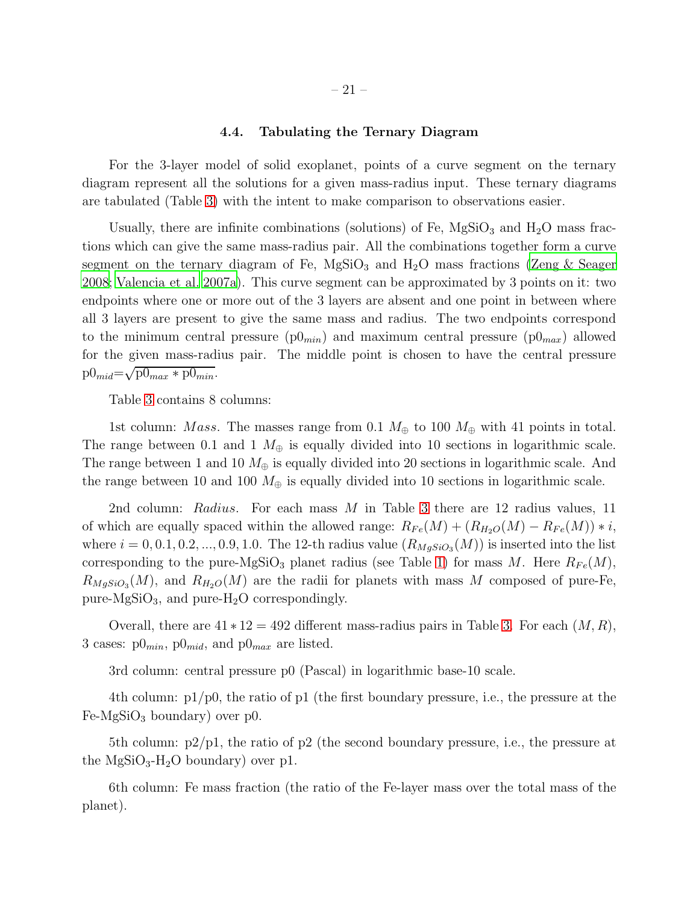### 4.4. Tabulating the Ternary Diagram

For the 3-layer model of solid exoplanet, points of a curve segment on the ternary diagram represent all the solutions for a given mass-radius input. These ternary diagrams are tabulated (Table [3\)](#page-21-0) with the intent to make comparison to observations easier.

Usually, there are infinite combinations (solutions) of Fe,  $MgSiO<sub>3</sub>$  and  $H<sub>2</sub>O$  mass fractions which can give the same mass-radius pair. All the combinations together form a curve segment on the ternary diagram of Fe,  $MgSiO<sub>3</sub>$  and  $H<sub>2</sub>O$  mass fractions [\(Zeng & Seager](#page-28-0) [2008;](#page-28-0) [Valencia et al. 2007a](#page-27-16)). This curve segment can be approximated by 3 points on it: two endpoints where one or more out of the 3 layers are absent and one point in between where all 3 layers are present to give the same mass and radius. The two endpoints correspond to the minimum central pressure  $(p0_{min})$  and maximum central pressure  $(p0_{max})$  allowed for the given mass-radius pair. The middle point is chosen to have the central pressure  $p0_{mid} = \sqrt{p0_{max} * p0_{min}}$ .

Table [3](#page-21-0) contains 8 columns:

1st column: *Mass*. The masses range from 0.1  $M_{\oplus}$  to 100  $M_{\oplus}$  with 41 points in total. The range between 0.1 and 1  $M_{\oplus}$  is equally divided into 10 sections in logarithmic scale. The range between 1 and 10  $M_{\oplus}$  is equally divided into 20 sections in logarithmic scale. And the range between 10 and 100  $M_{\oplus}$  is equally divided into 10 sections in logarithmic scale.

2nd column: Radius. For each mass M in Table [3](#page-21-0) there are 12 radius values, 11 of which are equally spaced within the allowed range:  $R_{Fe}(M) + (R_{H_2O}(M) - R_{Fe}(M)) * i$ , where  $i = 0, 0.1, 0.2, ..., 0.9, 1.0$ . The 12-th radius value  $(R_{MgSiO_3}(M))$  is inserted into the list corresponding to the pure-MgSiO<sub>3</sub> planet radius (see Table [1\)](#page-15-0) for mass M. Here  $R_{Fe}(M)$ ,  $R_{MgSiO_3}(M)$ , and  $R_{H_2O}(M)$  are the radii for planets with mass M composed of pure-Fe, pure- $MgSiO<sub>3</sub>$ , and pure- $H<sub>2</sub>O$  correspondingly.

Overall, there are  $41 * 12 = 492$  different mass-radius pairs in Table [3.](#page-21-0) For each  $(M, R)$ , 3 cases:  $p0_{min}$ ,  $p0_{mid}$ , and  $p0_{max}$  are listed.

3rd column: central pressure p0 (Pascal) in logarithmic base-10 scale.

4th column: p1/p0, the ratio of p1 (the first boundary pressure, i.e., the pressure at the  $Fe-MgSiO<sub>3</sub> boundary$  over p0.

5th column:  $p2/p1$ , the ratio of p2 (the second boundary pressure, i.e., the pressure at the  $MgSiO<sub>3</sub>-H<sub>2</sub>O$  boundary) over p1.

6th column: Fe mass fraction (the ratio of the Fe-layer mass over the total mass of the planet).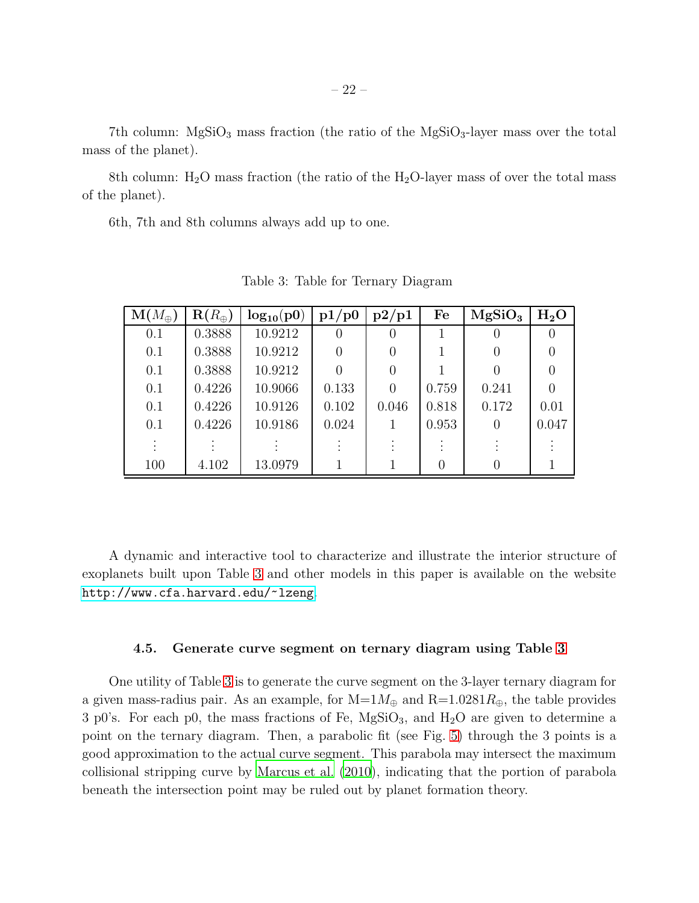7th column:  $MgSiO<sub>3</sub>$  mass fraction (the ratio of the  $MgSiO<sub>3</sub>$ -layer mass over the total mass of the planet).

8th column:  $H_2O$  mass fraction (the ratio of the  $H_2O$ -layer mass of over the total mass of the planet).

6th, 7th and 8th columns always add up to one.

<span id="page-21-0"></span>

| $\mathbf{M}(M_\oplus)$ | ${\bf R}(R_{\oplus})$ | $log_{10}(p0)$ | p1/p0 | p2/p1    | Fe    | MgSiO <sub>3</sub> | $H_2O$ |
|------------------------|-----------------------|----------------|-------|----------|-------|--------------------|--------|
| 0.1                    | 0.3888                | 10.9212        |       | $\theta$ |       |                    |        |
| 0.1                    | 0.3888                | 10.9212        |       | $\theta$ |       | $\left( \right)$   |        |
| 0.1                    | 0.3888                | 10.9212        |       | 0        |       |                    |        |
| 0.1                    | 0.4226                | 10.9066        | 0.133 | 0        | 0.759 | 0.241              |        |
| 0.1                    | 0.4226                | 10.9126        | 0.102 | 0.046    | 0.818 | 0.172              | 0.01   |
| 0.1                    | 0.4226                | 10.9186        | 0.024 |          | 0.953 | 0                  | 0.047  |
|                        |                       |                |       |          |       |                    |        |
| 100                    | 4.102                 | 13.0979        |       |          |       |                    |        |

Table 3: Table for Ternary Diagram

A dynamic and interactive tool to characterize and illustrate the interior structure of exoplanets built upon Table [3](#page-21-0) and other models in this paper is available on the website <http://www.cfa.harvard.edu/~lzeng>.

#### 4.5. Generate curve segment on ternary diagram using Table [3](#page-21-0)

One utility of Table [3](#page-21-0) is to generate the curve segment on the 3-layer ternary diagram for a given mass-radius pair. As an example, for  $M=1M_{\oplus}$  and  $R=1.0281R_{\oplus}$ , the table provides 3 p0's. For each p0, the mass fractions of Fe,  $MgSiO<sub>3</sub>$ , and  $H<sub>2</sub>O$  are given to determine a point on the ternary diagram. Then, a parabolic fit (see Fig. [5\)](#page-22-0) through the 3 points is a good approximation to the actual curve segment. This parabola may intersect the maximum collisional stripping curve by [Marcus et al. \(2010](#page-26-18)), indicating that the portion of parabola beneath the intersection point may be ruled out by planet formation theory.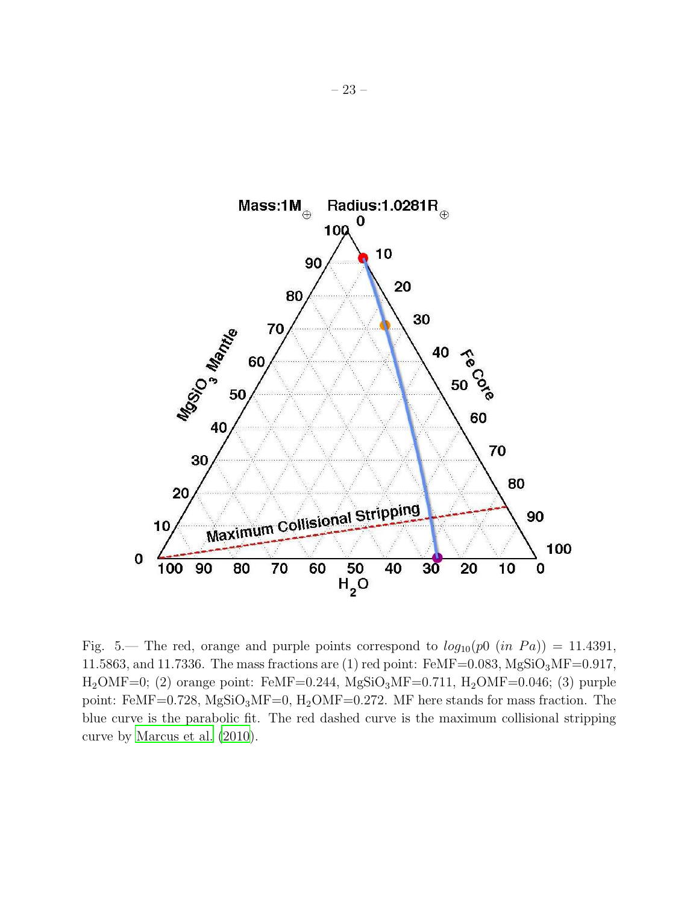

<span id="page-22-0"></span>Fig. 5.— The red, orange and purple points correspond to  $log_{10}(p0 (in Pa)) = 11.4391$ , 11.5863, and 11.7336. The mass fractions are (1) red point: FeMF=0.083, MgSiO<sub>3</sub>MF=0.917,  $H_2$ OMF=0; (2) orange point: FeMF=0.244, MgSiO<sub>3</sub>MF=0.711,  $H_2$ OMF=0.046; (3) purple point: FeMF=0.728, MgSiO<sub>3</sub>MF=0, H<sub>2</sub>OMF=0.272. MF here stands for mass fraction. The blue curve is the parabolic fit. The red dashed curve is the maximum collisional stripping curve by [Marcus et al. \(2010\)](#page-26-18).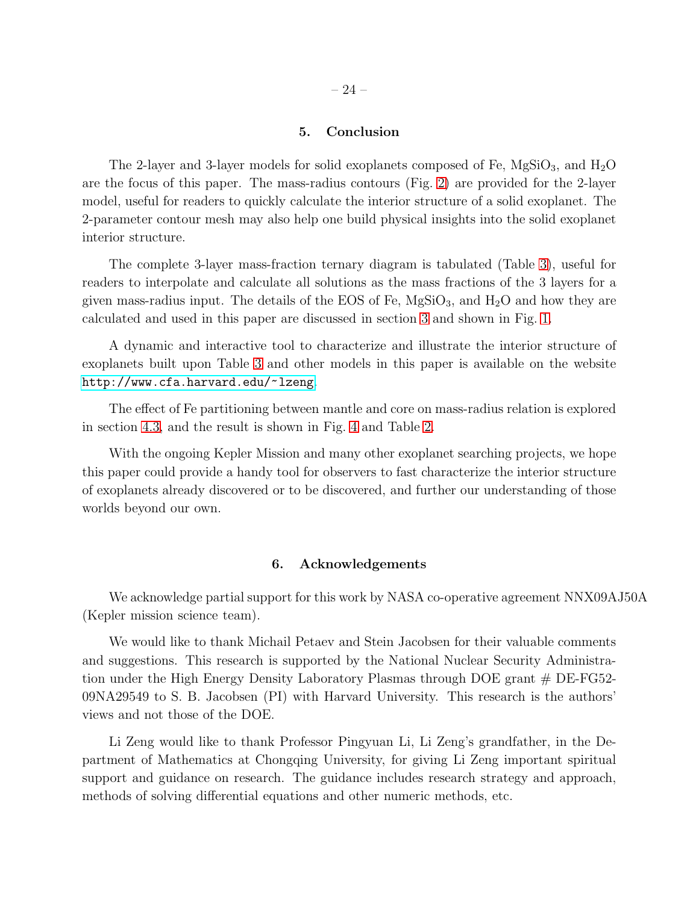### 5. Conclusion

The 2-layer and 3-layer models for solid exoplanets composed of Fe,  $MgSiO<sub>3</sub>$ , and  $H<sub>2</sub>O$ are the focus of this paper. The mass-radius contours (Fig. [2\)](#page-11-0) are provided for the 2-layer model, useful for readers to quickly calculate the interior structure of a solid exoplanet. The 2-parameter contour mesh may also help one build physical insights into the solid exoplanet interior structure.

The complete 3-layer mass-fraction ternary diagram is tabulated (Table [3\)](#page-21-0), useful for readers to interpolate and calculate all solutions as the mass fractions of the 3 layers for a given mass-radius input. The details of the EOS of Fe,  $MgSiO<sub>3</sub>$ , and  $H<sub>2</sub>O$  and how they are calculated and used in this paper are discussed in section [3](#page-2-0) and shown in Fig. [1.](#page-5-0)

A dynamic and interactive tool to characterize and illustrate the interior structure of exoplanets built upon Table [3](#page-21-0) and other models in this paper is available on the website <http://www.cfa.harvard.edu/~lzeng>.

The effect of Fe partitioning between mantle and core on mass-radius relation is explored in section [4.3,](#page-13-0) and the result is shown in Fig. [4](#page-18-0) and Table [2.](#page-19-0)

With the ongoing Kepler Mission and many other exoplanet searching projects, we hope this paper could provide a handy tool for observers to fast characterize the interior structure of exoplanets already discovered or to be discovered, and further our understanding of those worlds beyond our own.

#### 6. Acknowledgements

We acknowledge partial support for this work by NASA co-operative agreement NNX09AJ50A (Kepler mission science team).

We would like to thank Michail Petaev and Stein Jacobsen for their valuable comments and suggestions. This research is supported by the National Nuclear Security Administration under the High Energy Density Laboratory Plasmas through DOE grant # DE-FG52- 09NA29549 to S. B. Jacobsen (PI) with Harvard University. This research is the authors' views and not those of the DOE.

Li Zeng would like to thank Professor Pingyuan Li, Li Zeng's grandfather, in the Department of Mathematics at Chongqing University, for giving Li Zeng important spiritual support and guidance on research. The guidance includes research strategy and approach, methods of solving differential equations and other numeric methods, etc.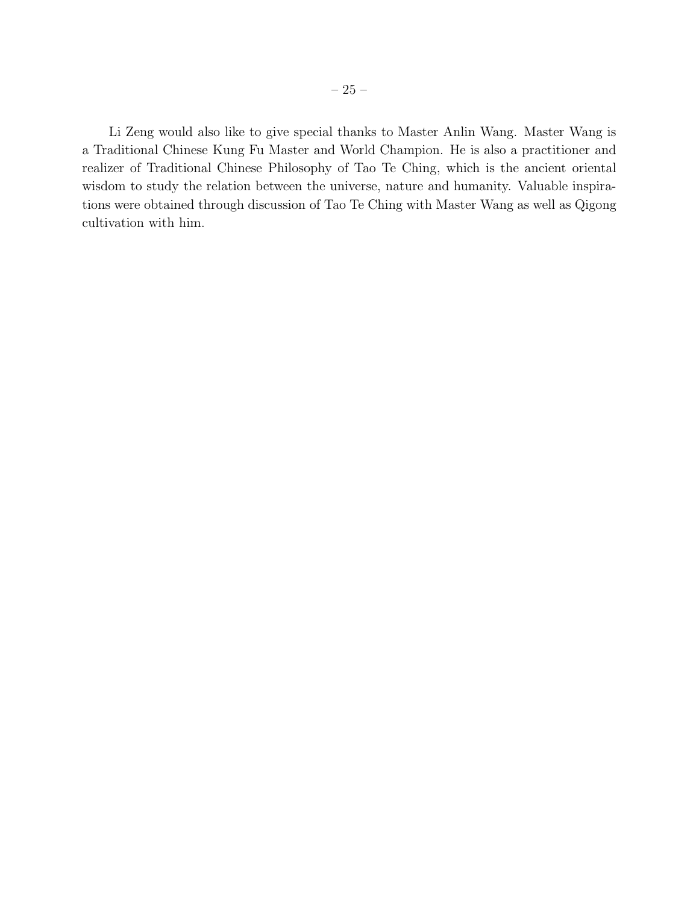Li Zeng would also like to give special thanks to Master Anlin Wang. Master Wang is a Traditional Chinese Kung Fu Master and World Champion. He is also a practitioner and realizer of Traditional Chinese Philosophy of Tao Te Ching, which is the ancient oriental wisdom to study the relation between the universe, nature and humanity. Valuable inspirations were obtained through discussion of Tao Te Ching with Master Wang as well as Qigong cultivation with him.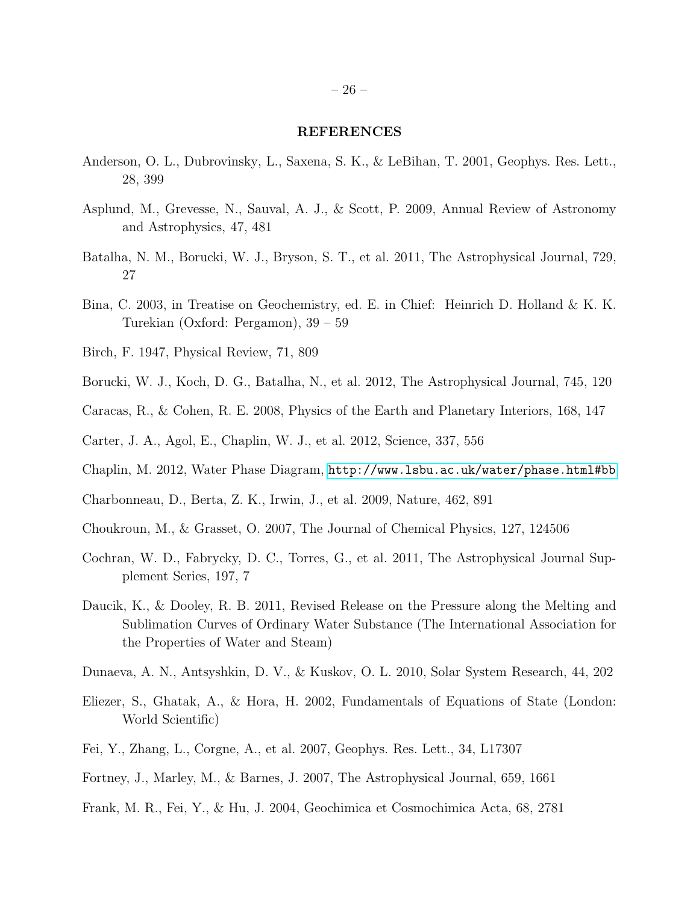#### REFERENCES

- <span id="page-25-3"></span>Anderson, O. L., Dubrovinsky, L., Saxena, S. K., & LeBihan, T. 2001, Geophys. Res. Lett., 28, 399
- <span id="page-25-16"></span>Asplund, M., Grevesse, N., Sauval, A. J., & Scott, P. 2009, Annual Review of Astronomy and Astrophysics, 47, 481
- <span id="page-25-0"></span>Batalha, N. M., Borucki, W. J., Bryson, S. T., et al. 2011, The Astrophysical Journal, 729, 27
- <span id="page-25-4"></span>Bina, C. 2003, in Treatise on Geochemistry, ed. E. in Chief: Heinrich D. Holland & K. K. Turekian (Oxford: Pergamon), 39 – 59
- <span id="page-25-6"></span>Birch, F. 1947, Physical Review, 71, 809
- <span id="page-25-14"></span>Borucki, W. J., Koch, D. G., Batalha, N., et al. 2012, The Astrophysical Journal, 745, 120
- <span id="page-25-5"></span>Caracas, R., & Cohen, R. E. 2008, Physics of the Earth and Planetary Interiors, 168, 147
- <span id="page-25-1"></span>Carter, J. A., Agol, E., Chaplin, W. J., et al. 2012, Science, 337, 556
- <span id="page-25-7"></span>Chaplin, M. 2012, Water Phase Diagram, <http://www.lsbu.ac.uk/water/phase.html#bb>
- <span id="page-25-15"></span>Charbonneau, D., Berta, Z. K., Irwin, J., et al. 2009, Nature, 462, 891
- <span id="page-25-8"></span>Choukroun, M., & Grasset, O. 2007, The Journal of Chemical Physics, 127, 124506
- <span id="page-25-13"></span>Cochran, W. D., Fabrycky, D. C., Torres, G., et al. 2011, The Astrophysical Journal Supplement Series, 197, 7
- <span id="page-25-10"></span>Daucik, K., & Dooley, R. B. 2011, Revised Release on the Pressure along the Melting and Sublimation Curves of Ordinary Water Substance (The International Association for the Properties of Water and Steam)
- <span id="page-25-9"></span>Dunaeva, A. N., Antsyshkin, D. V., & Kuskov, O. L. 2010, Solar System Research, 44, 202
- <span id="page-25-12"></span>Eliezer, S., Ghatak, A., & Hora, H. 2002, Fundamentals of Equations of State (London: World Scientific)
- <span id="page-25-17"></span>Fei, Y., Zhang, L., Corgne, A., et al. 2007, Geophys. Res. Lett., 34, L17307
- <span id="page-25-2"></span>Fortney, J., Marley, M., & Barnes, J. 2007, The Astrophysical Journal, 659, 1661
- <span id="page-25-11"></span>Frank, M. R., Fei, Y., & Hu, J. 2004, Geochimica et Cosmochimica Acta, 68, 2781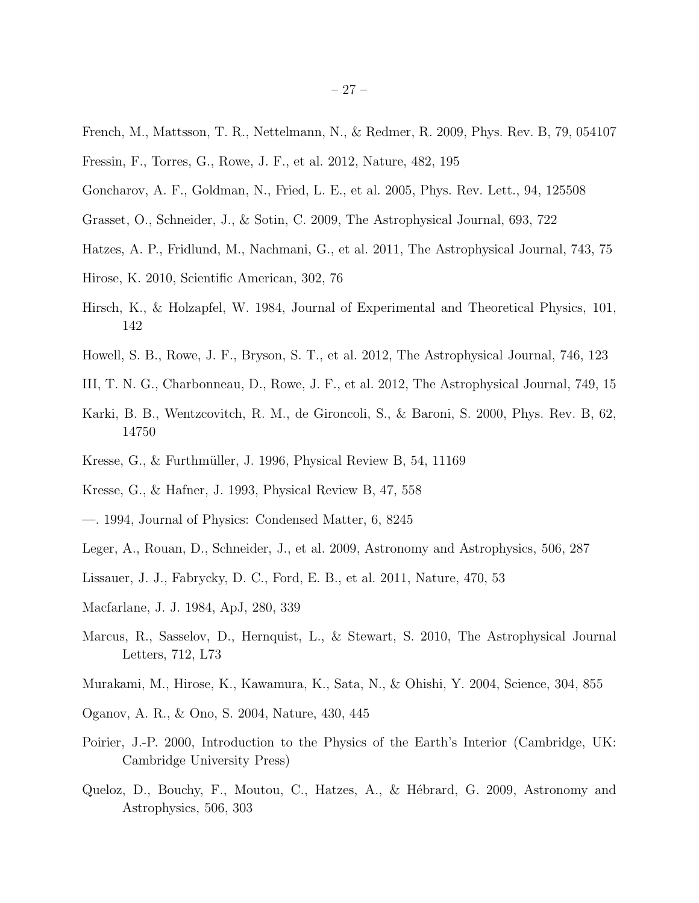- <span id="page-26-6"></span>French, M., Mattsson, T. R., Nettelmann, N., & Redmer, R. 2009, Phys. Rev. B, 79, 054107
- <span id="page-26-17"></span>Fressin, F., Torres, G., Rowe, J. F., et al. 2012, Nature, 482, 195
- <span id="page-26-12"></span>Goncharov, A. F., Goldman, N., Fried, L. E., et al. 2005, Phys. Rev. Lett., 94, 125508
- <span id="page-26-2"></span>Grasset, O., Schneider, J., & Sotin, C. 2009, The Astrophysical Journal, 693, 722
- <span id="page-26-1"></span>Hatzes, A. P., Fridlund, M., Nachmani, G., et al. 2011, The Astrophysical Journal, 743, 75
- <span id="page-26-7"></span>Hirose, K. 2010, Scientific American, 302, 76
- <span id="page-26-13"></span>Hirsch, K., & Holzapfel, W. 1984, Journal of Experimental and Theoretical Physics, 101, 142
- <span id="page-26-19"></span>Howell, S. B., Rowe, J. F., Bryson, S. T., et al. 2012, The Astrophysical Journal, 746, 123
- <span id="page-26-16"></span>III, T. N. G., Charbonneau, D., Rowe, J. F., et al. 2012, The Astrophysical Journal, 749, 15
- <span id="page-26-11"></span>Karki, B. B., Wentzcovitch, R. M., de Gironcoli, S., & Baroni, S. 2000, Phys. Rev. B, 62, 14750
- <span id="page-26-5"></span>Kresse, G., & Furthmüller, J. 1996, Physical Review B, 54, 11169
- <span id="page-26-3"></span>Kresse, G., & Hafner, J. 1993, Physical Review B, 47, 558
- <span id="page-26-4"></span>—. 1994, Journal of Physics: Condensed Matter, 6, 8245
- <span id="page-26-20"></span>Leger, A., Rouan, D., Schneider, J., et al. 2009, Astronomy and Astrophysics, 506, 287
- <span id="page-26-15"></span>Lissauer, J. J., Fabrycky, D. C., Ford, E. B., et al. 2011, Nature, 470, 53
- <span id="page-26-14"></span>Macfarlane, J. J. 1984, ApJ, 280, 339
- <span id="page-26-18"></span>Marcus, R., Sasselov, D., Hernquist, L., & Stewart, S. 2010, The Astrophysical Journal Letters, 712, L73
- <span id="page-26-8"></span>Murakami, M., Hirose, K., Kawamura, K., Sata, N., & Ohishi, Y. 2004, Science, 304, 855
- <span id="page-26-9"></span>Oganov, A. R., & Ono, S. 2004, Nature, 430, 445
- <span id="page-26-10"></span>Poirier, J.-P. 2000, Introduction to the Physics of the Earth's Interior (Cambridge, UK: Cambridge University Press)
- <span id="page-26-0"></span>Queloz, D., Bouchy, F., Moutou, C., Hatzes, A., & Hébrard, G. 2009, Astronomy and Astrophysics, 506, 303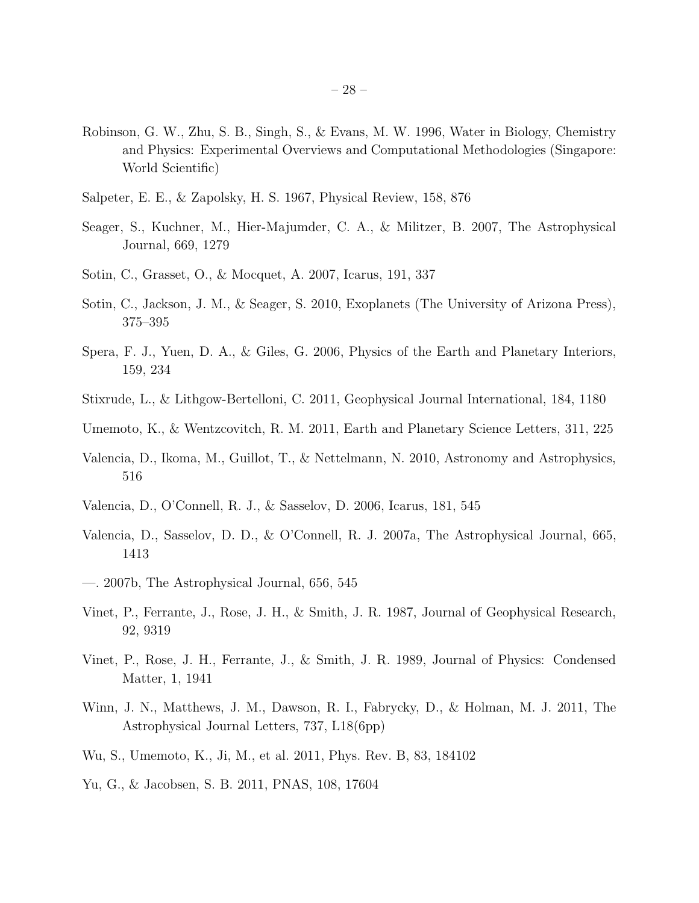- <span id="page-27-14"></span>Robinson, G. W., Zhu, S. B., Singh, S., & Evans, M. W. 1996, Water in Biology, Chemistry and Physics: Experimental Overviews and Computational Methodologies (Singapore: World Scientific)
- <span id="page-27-13"></span>Salpeter, E. E., & Zapolsky, H. S. 1967, Physical Review, 158, 876
- <span id="page-27-1"></span>Seager, S., Kuchner, M., Hier-Majumder, C. A., & Militzer, B. 2007, The Astrophysical Journal, 669, 1279
- <span id="page-27-9"></span>Sotin, C., Grasset, O., & Mocquet, A. 2007, Icarus, 191, 337
- <span id="page-27-2"></span>Sotin, C., Jackson, J. M., & Seager, S. 2010, Exoplanets (The University of Arizona Press), 375–395
- <span id="page-27-10"></span>Spera, F. J., Yuen, D. A., & Giles, G. 2006, Physics of the Earth and Planetary Interiors, 159, 234
- <span id="page-27-8"></span>Stixrude, L., & Lithgow-Bertelloni, C. 2011, Geophysical Journal International, 184, 1180
- <span id="page-27-11"></span>Umemoto, K., & Wentzcovitch, R. M. 2011, Earth and Planetary Science Letters, 311, 225
- <span id="page-27-5"></span>Valencia, D., Ikoma, M., Guillot, T., & Nettelmann, N. 2010, Astronomy and Astrophysics, 516
- <span id="page-27-0"></span>Valencia, D., O'Connell, R. J., & Sasselov, D. 2006, Icarus, 181, 545
- <span id="page-27-16"></span>Valencia, D., Sasselov, D. D., & O'Connell, R. J. 2007a, The Astrophysical Journal, 665, 1413
- <span id="page-27-4"></span>—. 2007b, The Astrophysical Journal, 656, 545
- <span id="page-27-6"></span>Vinet, P., Ferrante, J., Rose, J. H., & Smith, J. R. 1987, Journal of Geophysical Research, 92, 9319
- <span id="page-27-7"></span>Vinet, P., Rose, J. H., Ferrante, J., & Smith, J. R. 1989, Journal of Physics: Condensed Matter, 1, 1941
- <span id="page-27-15"></span>Winn, J. N., Matthews, J. M., Dawson, R. I., Fabrycky, D., & Holman, M. J. 2011, The Astrophysical Journal Letters, 737, L18(6pp)
- <span id="page-27-12"></span>Wu, S., Umemoto, K., Ji, M., et al. 2011, Phys. Rev. B, 83, 184102
- <span id="page-27-3"></span>Yu, G., & Jacobsen, S. B. 2011, PNAS, 108, 17604